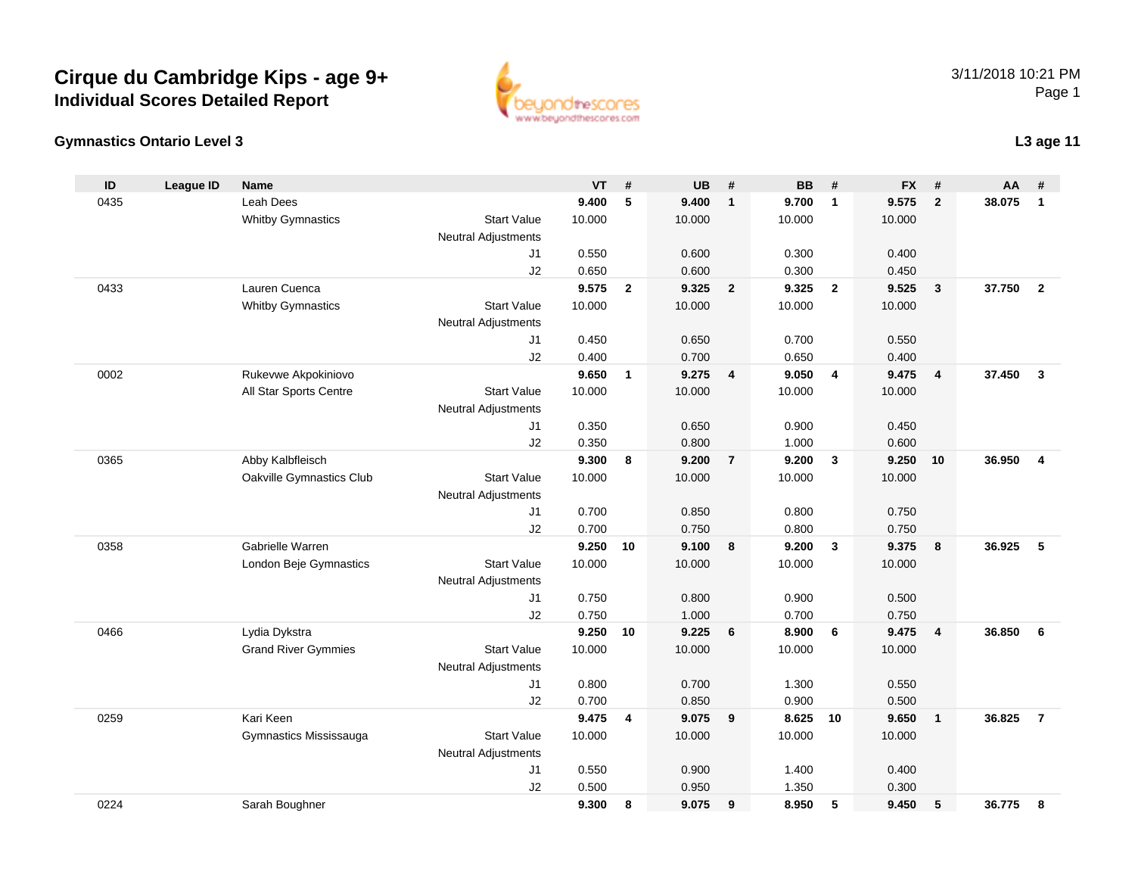### **Gymnastics Ontario Level 3**

0224

| ID   | <b>League ID</b> | <b>Name</b>                |                            | <b>VT</b> | $\#$         | <b>UB</b> | $\pmb{\#}$     | <b>BB</b> | #              | <b>FX</b> | #                       | AA     | #                       |
|------|------------------|----------------------------|----------------------------|-----------|--------------|-----------|----------------|-----------|----------------|-----------|-------------------------|--------|-------------------------|
| 0435 |                  | Leah Dees                  |                            | 9.400     | 5            | 9.400     | $\mathbf{1}$   | 9.700     | $\overline{1}$ | 9.575     | $\overline{2}$          | 38.075 | $\mathbf{1}$            |
|      |                  | <b>Whitby Gymnastics</b>   | <b>Start Value</b>         | 10.000    |              | 10.000    |                | 10.000    |                | 10.000    |                         |        |                         |
|      |                  |                            | Neutral Adjustments        |           |              |           |                |           |                |           |                         |        |                         |
|      |                  |                            | J1                         | 0.550     |              | 0.600     |                | 0.300     |                | 0.400     |                         |        |                         |
|      |                  |                            | J2                         | 0.650     |              | 0.600     |                | 0.300     |                | 0.450     |                         |        |                         |
| 0433 |                  | Lauren Cuenca              |                            | 9.575     | $\mathbf{2}$ | 9.325     | $\overline{2}$ | 9.325     | $\overline{2}$ | 9.525     | $\overline{\mathbf{3}}$ | 37.750 | $\overline{\mathbf{2}}$ |
|      |                  | <b>Whitby Gymnastics</b>   | <b>Start Value</b>         | 10.000    |              | 10.000    |                | 10.000    |                | 10.000    |                         |        |                         |
|      |                  |                            | <b>Neutral Adjustments</b> |           |              |           |                |           |                |           |                         |        |                         |
|      |                  |                            | J1                         | 0.450     |              | 0.650     |                | 0.700     |                | 0.550     |                         |        |                         |
|      |                  |                            | J2                         | 0.400     |              | 0.700     |                | 0.650     |                | 0.400     |                         |        |                         |
| 0002 |                  | Rukevwe Akpokiniovo        |                            | 9.650     | $\mathbf{1}$ | $9.275$ 4 |                | 9.050     | 4              | 9.475     | $\overline{4}$          | 37.450 | $\mathbf{3}$            |
|      |                  | All Star Sports Centre     | <b>Start Value</b>         | 10.000    |              | 10.000    |                | 10.000    |                | 10.000    |                         |        |                         |
|      |                  |                            | <b>Neutral Adjustments</b> |           |              |           |                |           |                |           |                         |        |                         |
|      |                  |                            | J1                         | 0.350     |              | 0.650     |                | 0.900     |                | 0.450     |                         |        |                         |
|      |                  |                            | J2                         | 0.350     |              | 0.800     |                | 1.000     |                | 0.600     |                         |        |                         |
| 0365 |                  | Abby Kalbfleisch           |                            | 9.300     | 8            | 9.200     | $\overline{7}$ | 9.200     | $\mathbf{3}$   | 9.250     | 10                      | 36.950 | $\overline{4}$          |
|      |                  | Oakville Gymnastics Club   | <b>Start Value</b>         | 10.000    |              | 10.000    |                | 10.000    |                | 10.000    |                         |        |                         |
|      |                  |                            | Neutral Adjustments        |           |              |           |                |           |                |           |                         |        |                         |
|      |                  |                            | J1                         | 0.700     |              | 0.850     |                | 0.800     |                | 0.750     |                         |        |                         |
|      |                  |                            | J2                         | 0.700     |              | 0.750     |                | 0.800     |                | 0.750     |                         |        |                         |
| 0358 |                  | Gabrielle Warren           |                            | 9.250     | 10           | 9.100     | 8              | 9.200     | $\mathbf{3}$   | 9.375     | $\boldsymbol{8}$        | 36.925 | 5                       |
|      |                  | London Beje Gymnastics     | <b>Start Value</b>         | 10.000    |              | 10.000    |                | 10.000    |                | 10.000    |                         |        |                         |
|      |                  |                            | <b>Neutral Adjustments</b> |           |              |           |                |           |                |           |                         |        |                         |
|      |                  |                            | J1                         | 0.750     |              | 0.800     |                | 0.900     |                | 0.500     |                         |        |                         |
|      |                  |                            | J2                         | 0.750     |              | 1.000     |                | 0.700     |                | 0.750     |                         |        |                         |
| 0466 |                  | Lydia Dykstra              |                            | 9.250     | 10           | 9.225     | 6              | 8.900     | 6              | 9.475     | $\overline{\mathbf{4}}$ | 36.850 | - 6                     |
|      |                  | <b>Grand River Gymmies</b> | <b>Start Value</b>         | 10.000    |              | 10.000    |                | 10.000    |                | 10.000    |                         |        |                         |
|      |                  |                            | <b>Neutral Adjustments</b> |           |              |           |                |           |                |           |                         |        |                         |
|      |                  |                            | J1                         | 0.800     |              | 0.700     |                | 1.300     |                | 0.550     |                         |        |                         |
|      |                  |                            | J2                         | 0.700     |              | 0.850     |                | 0.900     |                | 0.500     |                         |        |                         |
| 0259 |                  | Kari Keen                  |                            | 9.475     | 4            | 9.075     | 9              | 8.625     | 10             | 9.650     | $\overline{1}$          | 36.825 | $\overline{7}$          |
|      |                  | Gymnastics Mississauga     | <b>Start Value</b>         | 10.000    |              | 10.000    |                | 10.000    |                | 10.000    |                         |        |                         |
|      |                  |                            | <b>Neutral Adjustments</b> |           |              |           |                |           |                |           |                         |        |                         |
|      |                  |                            | J <sub>1</sub>             | 0.550     |              | 0.900     |                | 1.400     |                | 0.400     |                         |        |                         |
|      |                  |                            | J2                         | 0.500     |              | 0.950     |                | 1.350     |                | 0.300     |                         |        |                         |

Sarah Boughner **9.300 <sup>8</sup> 9.075 <sup>9</sup> 8.950 <sup>5</sup> 9.450 <sup>5</sup> 36.775 <sup>8</sup>**

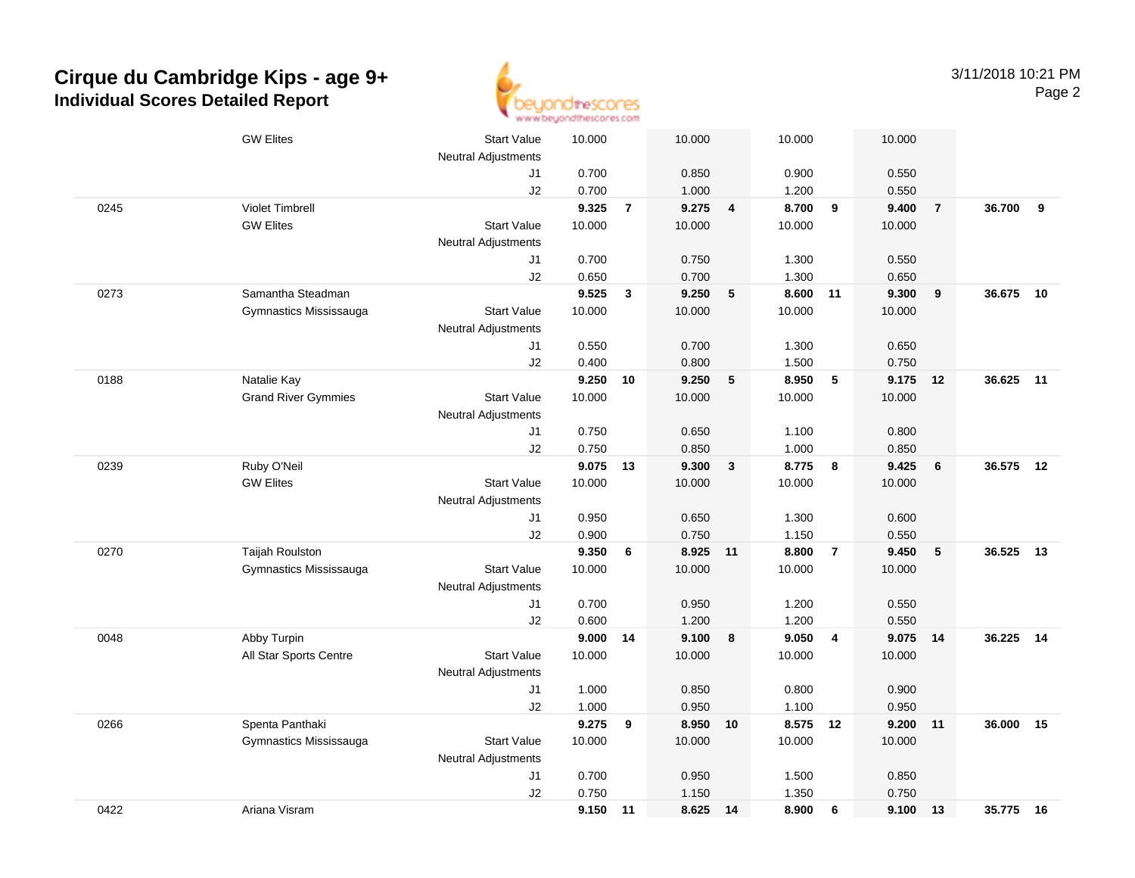

|      | <b>GW Elites</b>           | <b>Start Value</b>         | 10.000         |                | 10.000   |                | 10.000         |                | 10.000         |                |           |    |
|------|----------------------------|----------------------------|----------------|----------------|----------|----------------|----------------|----------------|----------------|----------------|-----------|----|
|      |                            | <b>Neutral Adjustments</b> |                |                |          |                |                |                |                |                |           |    |
|      |                            | J1                         | 0.700          |                | 0.850    |                | 0.900          |                | 0.550          |                |           |    |
|      |                            | J2                         | 0.700          |                | 1.000    |                | 1.200          |                | 0.550          |                |           |    |
| 0245 | <b>Violet Timbrell</b>     |                            | 9.325          | $\overline{7}$ | 9.275    | $\overline{4}$ | 8.700          | 9              | 9.400          | $\overline{7}$ | 36.700    | 9  |
|      | <b>GW Elites</b>           | <b>Start Value</b>         | 10.000         |                | 10.000   |                | 10.000         |                | 10.000         |                |           |    |
|      |                            | <b>Neutral Adjustments</b> |                |                |          |                |                |                |                |                |           |    |
|      |                            | J1                         | 0.700          |                | 0.750    |                | 1.300          |                | 0.550          |                |           |    |
|      | Samantha Steadman          | J2                         | 0.650          |                | 0.700    |                | 1.300          |                | 0.650          |                | 36.675    |    |
| 0273 |                            |                            | 9.525          | $\mathbf{3}$   | 9.250    | 5              | 8.600          | 11             | 9.300          | 9              |           | 10 |
|      | Gymnastics Mississauga     | <b>Start Value</b>         | 10.000         |                | 10.000   |                | 10.000         |                | 10.000         |                |           |    |
|      |                            | <b>Neutral Adjustments</b> |                |                | 0.700    |                |                |                |                |                |           |    |
|      |                            | J1<br>J2                   | 0.550<br>0.400 |                | 0.800    |                | 1.300<br>1.500 |                | 0.650<br>0.750 |                |           |    |
| 0188 | Natalie Kay                |                            | 9.250          | 10             | 9.250    | 5              | 8.950          | 5              | 9.175 12       |                | 36.625    | 11 |
|      | <b>Grand River Gymmies</b> | <b>Start Value</b>         | 10.000         |                | 10.000   |                | 10.000         |                | 10.000         |                |           |    |
|      |                            | <b>Neutral Adjustments</b> |                |                |          |                |                |                |                |                |           |    |
|      |                            | J1                         | 0.750          |                | 0.650    |                | 1.100          |                | 0.800          |                |           |    |
|      |                            | J2                         | 0.750          |                | 0.850    |                | 1.000          |                | 0.850          |                |           |    |
| 0239 | Ruby O'Neil                |                            | 9.075          | 13             | 9.300    | $\mathbf{3}$   | 8.775          | 8              | 9.425          | 6              | 36.575    | 12 |
|      | <b>GW Elites</b>           | <b>Start Value</b>         | 10.000         |                | 10.000   |                | 10.000         |                | 10.000         |                |           |    |
|      |                            | <b>Neutral Adjustments</b> |                |                |          |                |                |                |                |                |           |    |
|      |                            | J1                         | 0.950          |                | 0.650    |                | 1.300          |                | 0.600          |                |           |    |
|      |                            | J2                         | 0.900          |                | 0.750    |                | 1.150          |                | 0.550          |                |           |    |
| 0270 | <b>Taijah Roulston</b>     |                            | 9.350          | 6              | 8.925    | $-11$          | 8.800          | $\overline{7}$ | 9.450          | 5              | 36.525    | 13 |
|      | Gymnastics Mississauga     | <b>Start Value</b>         | 10.000         |                | 10.000   |                | 10.000         |                | 10.000         |                |           |    |
|      |                            | <b>Neutral Adjustments</b> |                |                |          |                |                |                |                |                |           |    |
|      |                            | J1                         | 0.700          |                | 0.950    |                | 1.200          |                | 0.550          |                |           |    |
|      |                            | J2                         | 0.600          |                | 1.200    |                | 1.200          |                | 0.550          |                |           |    |
| 0048 | Abby Turpin                |                            | 9.000          | 14             | 9.100    | 8              | 9.050          | $\overline{4}$ | 9.075 14       |                | 36.225    | 14 |
|      | All Star Sports Centre     | <b>Start Value</b>         | 10.000         |                | 10.000   |                | 10.000         |                | 10.000         |                |           |    |
|      |                            | <b>Neutral Adjustments</b> |                |                |          |                |                |                |                |                |           |    |
|      |                            | J1                         | 1.000          |                | 0.850    |                | 0.800          |                | 0.900          |                |           |    |
|      |                            | J2                         | 1.000          |                | 0.950    |                | 1.100          |                | 0.950          |                |           |    |
| 0266 | Spenta Panthaki            |                            | 9.275          | 9              | 8.950    | 10             | 8.575 12       |                | 9.200          | 11             | 36.000    | 15 |
|      | Gymnastics Mississauga     | <b>Start Value</b>         | 10.000         |                | 10.000   |                | 10.000         |                | 10.000         |                |           |    |
|      |                            | <b>Neutral Adjustments</b> |                |                |          |                |                |                |                |                |           |    |
|      |                            | J1                         | 0.700          |                | 0.950    |                | 1.500          |                | 0.850          |                |           |    |
|      |                            | J2                         | 0.750          |                | 1.150    |                | 1.350          |                | 0.750          |                |           |    |
| 0422 | Ariana Visram              |                            | 9.150          | 11             | 8.625 14 |                | 8.900          | 6              | 9.100 13       |                | 35.775 16 |    |
|      |                            |                            |                |                |          |                |                |                |                |                |           |    |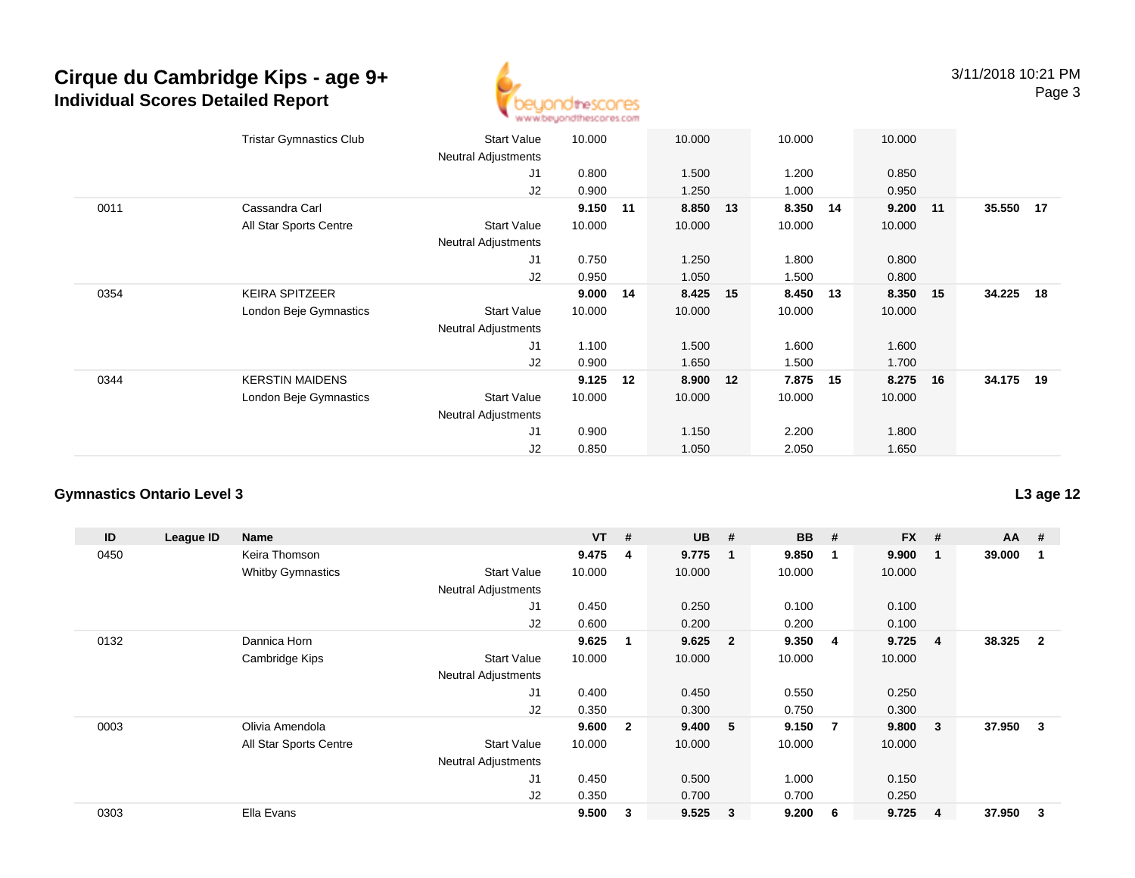

|      | <b>Tristar Gymnastics Club</b> | <b>Start Value</b>         | 10.000 |    | 10.000 |    | 10.000 |     | 10.000 |    |           |  |
|------|--------------------------------|----------------------------|--------|----|--------|----|--------|-----|--------|----|-----------|--|
|      |                                | <b>Neutral Adjustments</b> |        |    |        |    |        |     |        |    |           |  |
|      |                                | J1                         | 0.800  |    | 1.500  |    | 1.200  |     | 0.850  |    |           |  |
|      |                                | J2                         | 0.900  |    | 1.250  |    | 1.000  |     | 0.950  |    |           |  |
| 0011 | Cassandra Carl                 |                            | 9.150  | 11 | 8.850  | 13 | 8.350  | 14  | 9.200  | 11 | 35.550 17 |  |
|      | All Star Sports Centre         | <b>Start Value</b>         | 10.000 |    | 10.000 |    | 10.000 |     | 10.000 |    |           |  |
|      |                                | <b>Neutral Adjustments</b> |        |    |        |    |        |     |        |    |           |  |
|      |                                | J1                         | 0.750  |    | 1.250  |    | 1.800  |     | 0.800  |    |           |  |
|      |                                | J2                         | 0.950  |    | 1.050  |    | 1.500  |     | 0.800  |    |           |  |
| 0354 | <b>KEIRA SPITZEER</b>          |                            | 9.000  | 14 | 8.425  | 15 | 8.450  | -13 | 8.350  | 15 | 34.225 18 |  |
|      | London Beje Gymnastics         | <b>Start Value</b>         | 10.000 |    | 10.000 |    | 10.000 |     | 10.000 |    |           |  |
|      |                                | <b>Neutral Adjustments</b> |        |    |        |    |        |     |        |    |           |  |
|      |                                | J1                         | 1.100  |    | 1.500  |    | 1.600  |     | 1.600  |    |           |  |
|      |                                | J2                         | 0.900  |    | 1.650  |    | 1.500  |     | 1.700  |    |           |  |
| 0344 | <b>KERSTIN MAIDENS</b>         |                            | 9.125  | 12 | 8.900  | 12 | 7.875  | 15  | 8.275  | 16 | 34.175 19 |  |
|      | London Beje Gymnastics         | <b>Start Value</b>         | 10.000 |    | 10.000 |    | 10.000 |     | 10.000 |    |           |  |
|      |                                | <b>Neutral Adjustments</b> |        |    |        |    |        |     |        |    |           |  |
|      |                                | J1                         | 0.900  |    | 1.150  |    | 2.200  |     | 1.800  |    |           |  |
|      |                                | J <sub>2</sub>             | 0.850  |    | 1.050  |    | 2.050  |     | 1.650  |    |           |  |
|      |                                |                            |        |    |        |    |        |     |        |    |           |  |

### **Gymnastics Ontario Level 3**

| ID   | League ID | <b>Name</b>              |                            | $VT$ # |                         | <b>UB</b> | #                       | <b>BB</b> | #   | <b>FX</b> | # | $AA$ # |                |
|------|-----------|--------------------------|----------------------------|--------|-------------------------|-----------|-------------------------|-----------|-----|-----------|---|--------|----------------|
| 0450 |           | Keira Thomson            |                            | 9.475  | 4                       | 9.775     | $\overline{1}$          | 9.850     | -1  | 9.900     |   | 39.000 |                |
|      |           | <b>Whitby Gymnastics</b> | <b>Start Value</b>         | 10.000 |                         | 10.000    |                         | 10.000    |     | 10.000    |   |        |                |
|      |           |                          | Neutral Adjustments        |        |                         |           |                         |           |     |           |   |        |                |
|      |           |                          | J1                         | 0.450  |                         | 0.250     |                         | 0.100     |     | 0.100     |   |        |                |
|      |           |                          | J <sub>2</sub>             | 0.600  |                         | 0.200     |                         | 0.200     |     | 0.100     |   |        |                |
| 0132 |           | Dannica Horn             |                            | 9.625  |                         | 9.625     | $\overline{\mathbf{2}}$ | 9.350     | -4  | 9.725     | 4 | 38.325 | $\overline{2}$ |
|      |           | Cambridge Kips           | <b>Start Value</b>         | 10.000 |                         | 10.000    |                         | 10.000    |     | 10.000    |   |        |                |
|      |           |                          | <b>Neutral Adjustments</b> |        |                         |           |                         |           |     |           |   |        |                |
|      |           |                          | J1                         | 0.400  |                         | 0.450     |                         | 0.550     |     | 0.250     |   |        |                |
|      |           |                          | J <sub>2</sub>             | 0.350  |                         | 0.300     |                         | 0.750     |     | 0.300     |   |        |                |
| 0003 |           | Olivia Amendola          |                            | 9.600  | $\overline{\mathbf{2}}$ | 9.400     | $-5$                    | 9.150     | - 7 | 9.800     | 3 | 37.950 | 3              |
|      |           | All Star Sports Centre   | <b>Start Value</b>         | 10.000 |                         | 10.000    |                         | 10.000    |     | 10.000    |   |        |                |
|      |           |                          | <b>Neutral Adjustments</b> |        |                         |           |                         |           |     |           |   |        |                |
|      |           |                          | J1                         | 0.450  |                         | 0.500     |                         | 1.000     |     | 0.150     |   |        |                |
|      |           |                          | J2                         | 0.350  |                         | 0.700     |                         | 0.700     |     | 0.250     |   |        |                |
| 0303 |           | Ella Evans               |                            | 9.500  | 3                       | 9.525     | $\mathbf{3}$            | 9.200     | 6   | 9.725     | 4 | 37.950 | 3              |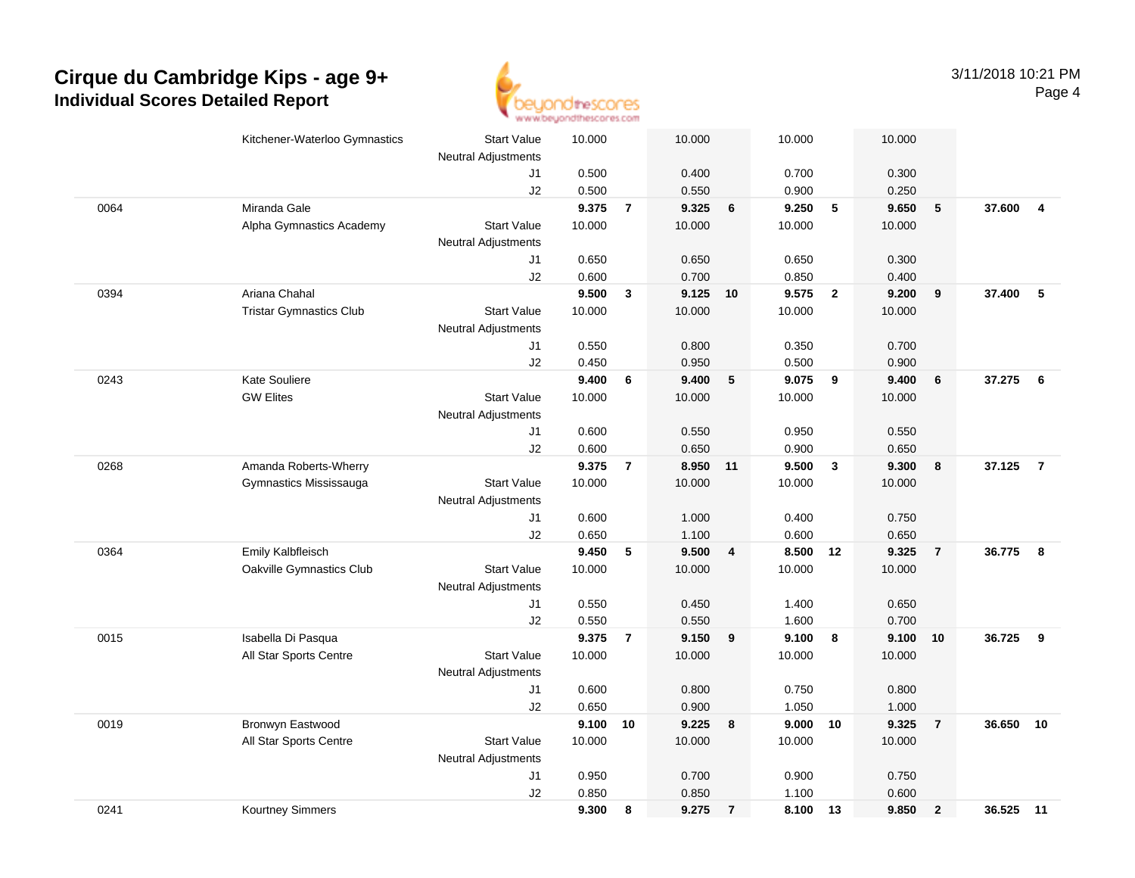

|      | Kitchener-Waterloo Gymnastics  | <b>Start Value</b>         | 10.000         |                | 10.000         |                         | 10.000         |                         | 10.000         |                |           |                         |
|------|--------------------------------|----------------------------|----------------|----------------|----------------|-------------------------|----------------|-------------------------|----------------|----------------|-----------|-------------------------|
|      |                                | <b>Neutral Adjustments</b> |                |                |                |                         |                |                         |                |                |           |                         |
|      |                                | J1                         | 0.500          |                | 0.400          |                         | 0.700          |                         | 0.300          |                |           |                         |
|      |                                | J2                         | 0.500          |                | 0.550          |                         | 0.900          |                         | 0.250          |                |           |                         |
| 0064 | Miranda Gale                   |                            | 9.375          | $\overline{7}$ | 9.325          | 6                       | 9.250          | 5                       | 9.650          | $\sqrt{5}$     | 37.600    | $\overline{\mathbf{4}}$ |
|      | Alpha Gymnastics Academy       | <b>Start Value</b>         | 10.000         |                | 10.000         |                         | 10.000         |                         | 10.000         |                |           |                         |
|      |                                | <b>Neutral Adjustments</b> |                |                |                |                         |                |                         |                |                |           |                         |
|      |                                | J1                         | 0.650          |                | 0.650          |                         | 0.650          |                         | 0.300          |                |           |                         |
|      |                                | J2                         | 0.600          |                | 0.700          |                         | 0.850          |                         | 0.400          |                |           |                         |
| 0394 | Ariana Chahal                  |                            | 9.500          | 3              | 9.125          | 10                      | 9.575          | $\overline{2}$          | 9.200          | 9              | 37.400    | $\sqrt{5}$              |
|      | <b>Tristar Gymnastics Club</b> | <b>Start Value</b>         | 10.000         |                | 10.000         |                         | 10.000         |                         | 10.000         |                |           |                         |
|      |                                | <b>Neutral Adjustments</b> |                |                |                |                         |                |                         |                |                |           |                         |
|      |                                | J1                         | 0.550          |                | 0.800          |                         | 0.350          |                         | 0.700          |                |           |                         |
|      |                                | J2                         | 0.450          |                | 0.950          |                         | 0.500          |                         | 0.900          |                |           |                         |
| 0243 | Kate Souliere                  |                            | 9.400          | 6              | 9.400          | $5\phantom{.0}$         | 9.075          | 9                       | 9.400          | $\bf 6$        | 37.275    | 6                       |
|      | <b>GW Elites</b>               | <b>Start Value</b>         | 10.000         |                | 10.000         |                         | 10.000         |                         | 10.000         |                |           |                         |
|      |                                | <b>Neutral Adjustments</b> |                |                |                |                         |                |                         |                |                |           |                         |
|      |                                | J1                         | 0.600          |                | 0.550          |                         | 0.950          |                         | 0.550          |                |           |                         |
|      |                                | J2                         | 0.600          |                | 0.650          |                         | 0.900          |                         | 0.650          |                |           |                         |
| 0268 | Amanda Roberts-Wherry          |                            | 9.375          | $\overline{7}$ | 8.950 11       |                         | 9.500          | $\overline{\mathbf{3}}$ | 9.300          | 8              | 37.125    | $\overline{7}$          |
|      | Gymnastics Mississauga         | <b>Start Value</b>         | 10.000         |                | 10.000         |                         | 10.000         |                         | 10.000         |                |           |                         |
|      |                                | <b>Neutral Adjustments</b> |                |                |                |                         |                |                         |                |                |           |                         |
|      |                                | J1                         | 0.600          |                | 1.000          |                         | 0.400          |                         | 0.750          |                |           |                         |
|      |                                | J2                         | 0.650          |                | 1.100          |                         | 0.600          |                         | 0.650          |                |           |                         |
| 0364 | Emily Kalbfleisch              |                            | 9.450          | 5              | 9.500          | $\overline{\mathbf{4}}$ | 8.500          | 12                      | 9.325          | $\overline{7}$ | 36.775    | 8                       |
|      | Oakville Gymnastics Club       | <b>Start Value</b>         | 10.000         |                | 10.000         |                         | 10.000         |                         | 10.000         |                |           |                         |
|      |                                | <b>Neutral Adjustments</b> |                |                |                |                         |                |                         |                |                |           |                         |
|      |                                | J1                         | 0.550          |                | 0.450          |                         | 1.400          |                         | 0.650          |                |           |                         |
| 0015 |                                | J2                         | 0.550<br>9.375 | $\overline{7}$ | 0.550<br>9.150 |                         | 1.600<br>9.100 | 8                       | 0.700<br>9.100 | 10             | 36.725    |                         |
|      | Isabella Di Pasqua             | <b>Start Value</b>         | 10.000         |                | 10.000         | 9                       | 10.000         |                         |                |                |           | 9                       |
|      | All Star Sports Centre         |                            |                |                |                |                         |                |                         | 10.000         |                |           |                         |
|      |                                | <b>Neutral Adjustments</b> |                |                |                |                         |                |                         |                |                |           |                         |
|      |                                | J1                         | 0.600          |                | 0.800          |                         | 0.750          |                         | 0.800          |                |           |                         |
|      |                                | J2                         | 0.650          |                | 0.900          |                         | 1.050          |                         | 1.000          |                |           |                         |
| 0019 | Bronwyn Eastwood               |                            | 9.100          | 10             | 9.225          | 8                       | 9.000          | 10                      | 9.325          | $\overline{7}$ | 36.650    | 10                      |
|      | All Star Sports Centre         | <b>Start Value</b>         | 10.000         |                | 10.000         |                         | 10.000         |                         | 10.000         |                |           |                         |
|      |                                | <b>Neutral Adjustments</b> |                |                |                |                         | 0.900          |                         |                |                |           |                         |
|      |                                | J1<br>J2                   | 0.950<br>0.850 |                | 0.700<br>0.850 |                         | 1.100          |                         | 0.750<br>0.600 |                |           |                         |
| 0241 | Kourtney Simmers               |                            | 9.300          | 8              | 9.275          | $\overline{7}$          | 8.100 13       |                         | 9.850          | $\overline{2}$ | 36.525 11 |                         |
|      |                                |                            |                |                |                |                         |                |                         |                |                |           |                         |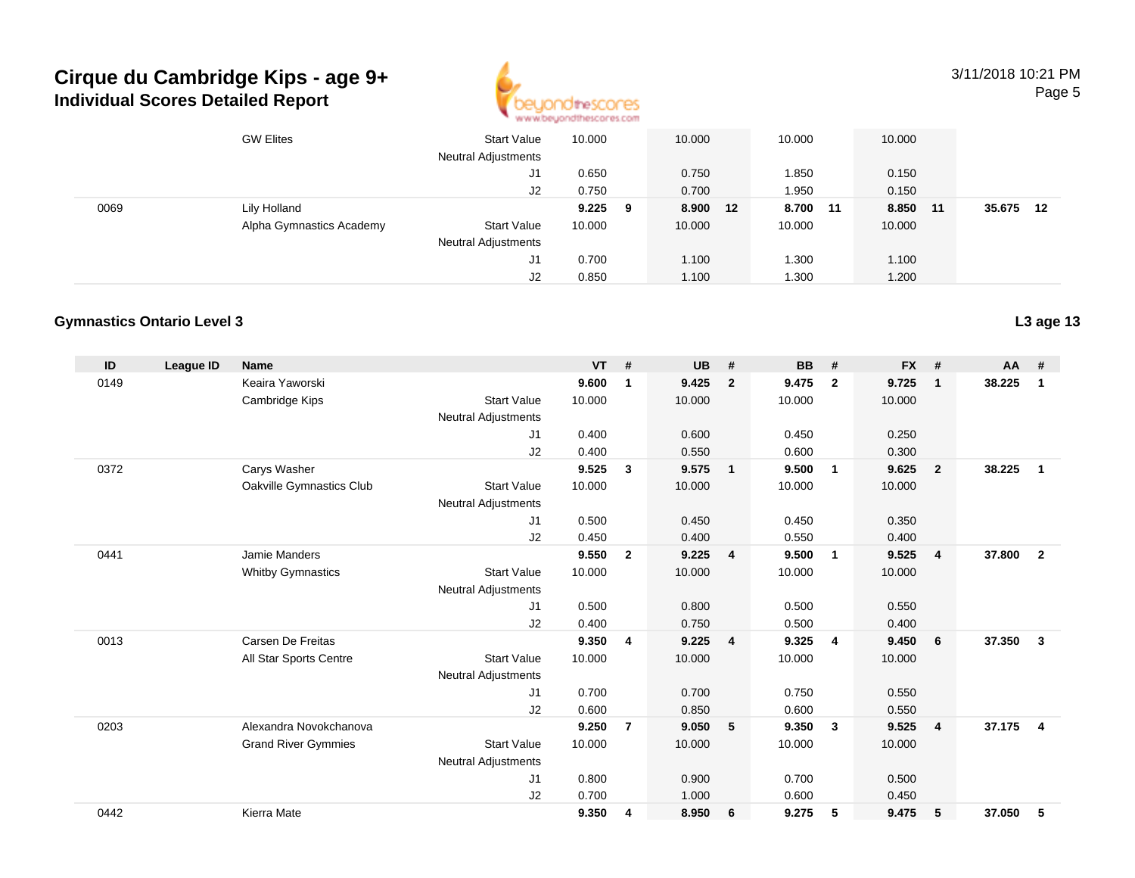

3/11/2018 10:21 PMPage 5

|      | <b>GW Elites</b>         | <b>Start Value</b><br><b>Neutral Adjustments</b> | 10.000 |     | 10.000   | 10.000 |    | 10.000 |    |        |     |
|------|--------------------------|--------------------------------------------------|--------|-----|----------|--------|----|--------|----|--------|-----|
|      |                          | J1                                               | 0.650  |     | 0.750    | 1.850  |    | 0.150  |    |        |     |
|      |                          | J2                                               | 0.750  |     | 0.700    | 1.950  |    | 0.150  |    |        |     |
| 0069 | Lily Holland             |                                                  | 9.225  | - 9 | 8.900 12 | 8.700  | 11 | 8.850  | 11 | 35.675 | -12 |
|      | Alpha Gymnastics Academy | <b>Start Value</b>                               | 10.000 |     | 10.000   | 10.000 |    | 10.000 |    |        |     |
|      |                          | <b>Neutral Adjustments</b>                       |        |     |          |        |    |        |    |        |     |
|      |                          | J1                                               | 0.700  |     | 1.100    | .300   |    | 1.100  |    |        |     |
|      |                          | J2                                               | 0.850  |     | 1.100    | .300   |    | 1.200  |    |        |     |

### **Gymnastics Ontario Level 3**

| ID   | League ID | <b>Name</b>                |                            | <b>VT</b> | #              | <b>UB</b> | #              | <b>BB</b> | #              | <b>FX</b> | #              | <b>AA</b> | #              |
|------|-----------|----------------------------|----------------------------|-----------|----------------|-----------|----------------|-----------|----------------|-----------|----------------|-----------|----------------|
| 0149 |           | Keaira Yaworski            |                            | 9.600     | 1              | 9.425     | $\overline{2}$ | 9.475     | $\overline{2}$ | 9.725     | $\mathbf{1}$   | 38.225    | 1              |
|      |           | Cambridge Kips             | <b>Start Value</b>         | 10.000    |                | 10.000    |                | 10.000    |                | 10.000    |                |           |                |
|      |           |                            | <b>Neutral Adjustments</b> |           |                |           |                |           |                |           |                |           |                |
|      |           |                            | J1                         | 0.400     |                | 0.600     |                | 0.450     |                | 0.250     |                |           |                |
|      |           |                            | J2                         | 0.400     |                | 0.550     |                | 0.600     |                | 0.300     |                |           |                |
| 0372 |           | Carys Washer               |                            | 9.525     | 3              | 9.575     | $\overline{1}$ | 9.500     | $\overline{1}$ | 9.625     | $\overline{2}$ | 38.225    | $\mathbf{1}$   |
|      |           | Oakville Gymnastics Club   | <b>Start Value</b>         | 10.000    |                | 10.000    |                | 10.000    |                | 10.000    |                |           |                |
|      |           |                            | <b>Neutral Adjustments</b> |           |                |           |                |           |                |           |                |           |                |
|      |           |                            | J <sub>1</sub>             | 0.500     |                | 0.450     |                | 0.450     |                | 0.350     |                |           |                |
|      |           |                            | J <sub>2</sub>             | 0.450     |                | 0.400     |                | 0.550     |                | 0.400     |                |           |                |
| 0441 |           | Jamie Manders              |                            | 9.550     | $\mathbf{2}$   | 9.225     | $\overline{4}$ | 9.500     | $\mathbf{1}$   | 9.525     | $\overline{4}$ | 37.800    | $\overline{2}$ |
|      |           | <b>Whitby Gymnastics</b>   | <b>Start Value</b>         | 10.000    |                | 10.000    |                | 10.000    |                | 10.000    |                |           |                |
|      |           |                            | <b>Neutral Adjustments</b> |           |                |           |                |           |                |           |                |           |                |
|      |           |                            | J <sub>1</sub>             | 0.500     |                | 0.800     |                | 0.500     |                | 0.550     |                |           |                |
|      |           |                            | J <sub>2</sub>             | 0.400     |                | 0.750     |                | 0.500     |                | 0.400     |                |           |                |
| 0013 |           | Carsen De Freitas          |                            | 9.350     | 4              | 9.225     | $\overline{4}$ | 9.325     | $\overline{4}$ | 9.450     | 6              | 37.350    | 3              |
|      |           | All Star Sports Centre     | <b>Start Value</b>         | 10.000    |                | 10.000    |                | 10.000    |                | 10.000    |                |           |                |
|      |           |                            | <b>Neutral Adjustments</b> |           |                |           |                |           |                |           |                |           |                |
|      |           |                            | J <sub>1</sub>             | 0.700     |                | 0.700     |                | 0.750     |                | 0.550     |                |           |                |
|      |           |                            | J2                         | 0.600     |                | 0.850     |                | 0.600     |                | 0.550     |                |           |                |
| 0203 |           | Alexandra Novokchanova     |                            | 9.250     | $\overline{7}$ | 9.050     | - 5            | 9.350     | $\mathbf{3}$   | 9.525     | $\overline{4}$ | 37.175    | $\overline{4}$ |
|      |           | <b>Grand River Gymmies</b> | <b>Start Value</b>         | 10.000    |                | 10.000    |                | 10.000    |                | 10.000    |                |           |                |
|      |           |                            | <b>Neutral Adjustments</b> |           |                |           |                |           |                |           |                |           |                |
|      |           |                            | J <sub>1</sub>             | 0.800     |                | 0.900     |                | 0.700     |                | 0.500     |                |           |                |
|      |           |                            | J2                         | 0.700     |                | 1.000     |                | 0.600     |                | 0.450     |                |           |                |
| 0442 |           | Kierra Mate                |                            | 9.350     | 4              | 8.950     | - 6            | 9.275     | 5              | 9.475     | 5              | 37.050    | 5              |
|      |           |                            |                            |           |                |           |                |           |                |           |                |           |                |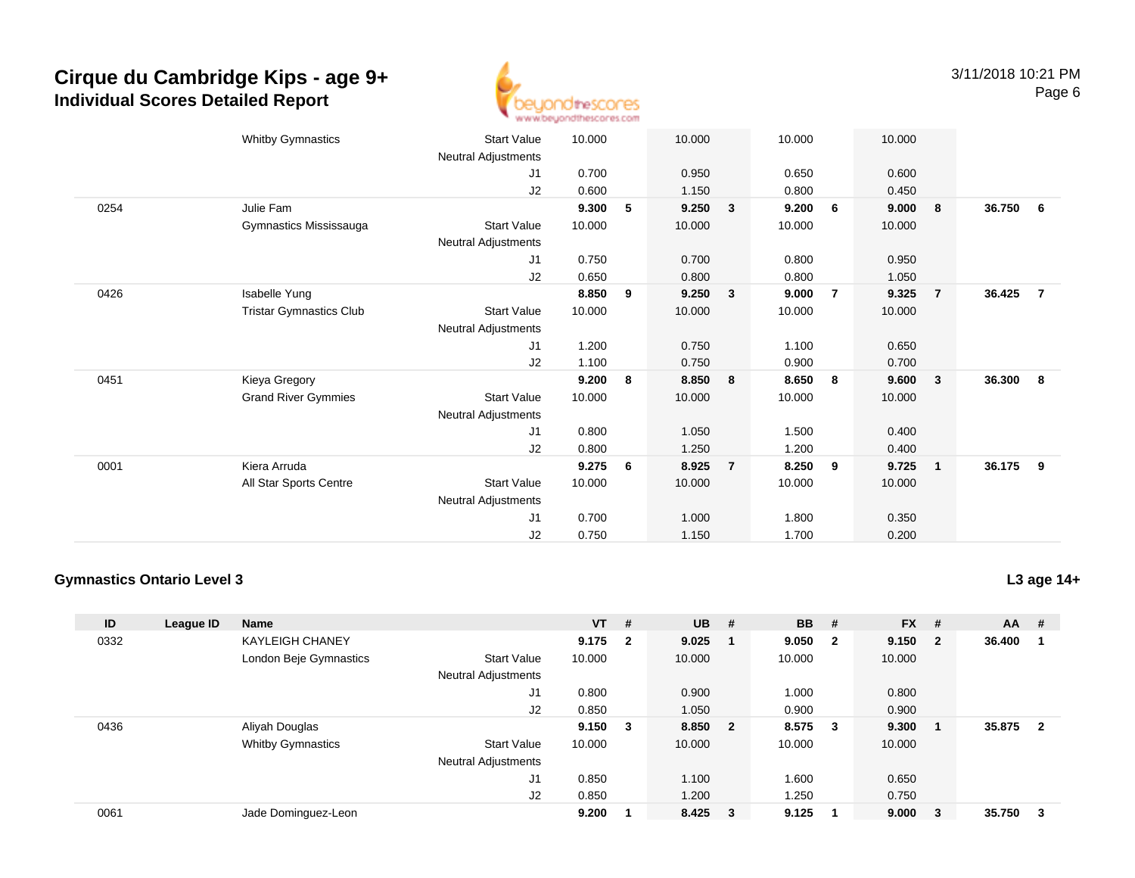

|      | <b>Whitby Gymnastics</b>       | <b>Start Value</b>         | 10.000 |   | 10.000                  | 10.000     |                | 10.000 |                         |          |                |
|------|--------------------------------|----------------------------|--------|---|-------------------------|------------|----------------|--------|-------------------------|----------|----------------|
|      |                                | Neutral Adjustments        |        |   |                         |            |                |        |                         |          |                |
|      |                                | J1                         | 0.700  |   | 0.950                   | 0.650      |                | 0.600  |                         |          |                |
|      |                                | J2                         | 0.600  |   | 1.150                   | 0.800      |                | 0.450  |                         |          |                |
| 0254 | Julie Fam                      |                            | 9.300  | 5 | 9.250                   | 9.200<br>3 | 6              | 9.000  | 8                       | 36.750   | 6              |
|      | Gymnastics Mississauga         | <b>Start Value</b>         | 10.000 |   | 10.000                  | 10.000     |                | 10.000 |                         |          |                |
|      |                                | Neutral Adjustments        |        |   |                         |            |                |        |                         |          |                |
|      |                                | J1                         | 0.750  |   | 0.700                   | 0.800      |                | 0.950  |                         |          |                |
|      |                                | J2                         | 0.650  |   | 0.800                   | 0.800      |                | 1.050  |                         |          |                |
| 0426 | Isabelle Yung                  |                            | 8.850  | 9 | 9.250                   | 9.000<br>3 | $\overline{7}$ | 9.325  | $\overline{7}$          | 36.425   | $\overline{7}$ |
|      | <b>Tristar Gymnastics Club</b> | <b>Start Value</b>         | 10.000 |   | 10.000                  | 10.000     |                | 10.000 |                         |          |                |
|      |                                | Neutral Adjustments        |        |   |                         |            |                |        |                         |          |                |
|      |                                | J1                         | 1.200  |   | 0.750                   | 1.100      |                | 0.650  |                         |          |                |
|      |                                | J2                         | 1.100  |   | 0.750                   | 0.900      |                | 0.700  |                         |          |                |
| 0451 | Kieya Gregory                  |                            | 9.200  | 8 | 8.850                   | 8.650<br>8 | 8              | 9.600  | $\overline{\mathbf{3}}$ | 36.300 8 |                |
|      | <b>Grand River Gymmies</b>     | <b>Start Value</b>         | 10.000 |   | 10.000                  | 10.000     |                | 10.000 |                         |          |                |
|      |                                | Neutral Adjustments        |        |   |                         |            |                |        |                         |          |                |
|      |                                | J1                         | 0.800  |   | 1.050                   | 1.500      |                | 0.400  |                         |          |                |
|      |                                | J2                         | 0.800  |   | 1.250                   | 1.200      |                | 0.400  |                         |          |                |
| 0001 | Kiera Arruda                   |                            | 9.275  | 6 | 8.925<br>$\overline{7}$ | 8.250      | 9              | 9.725  | $\overline{1}$          | 36.175   | - 9            |
|      | All Star Sports Centre         | <b>Start Value</b>         | 10.000 |   | 10.000                  | 10.000     |                | 10.000 |                         |          |                |
|      |                                | <b>Neutral Adjustments</b> |        |   |                         |            |                |        |                         |          |                |
|      |                                | J1                         | 0.700  |   | 1.000                   | 1.800      |                | 0.350  |                         |          |                |
|      |                                | J2                         | 0.750  |   | 1.150                   | 1.700      |                | 0.200  |                         |          |                |
|      |                                |                            |        |   |                         |            |                |        |                         |          |                |

### **Gymnastics Ontario Level 3**

**L3 age 14+**

| ID   | League ID | <b>Name</b>              |                            | $VT$ # |                         | $UB$ #  |                         | <b>BB</b> | #                       | $FX$ #  |        | $AA$ # |                         |
|------|-----------|--------------------------|----------------------------|--------|-------------------------|---------|-------------------------|-----------|-------------------------|---------|--------|--------|-------------------------|
| 0332 |           | <b>KAYLEIGH CHANEY</b>   |                            | 9.175  | $\overline{\mathbf{2}}$ | 9.025   |                         | 9.050     | $\overline{\mathbf{2}}$ | 9.150 2 |        | 36.400 |                         |
|      |           | London Beje Gymnastics   | <b>Start Value</b>         | 10.000 |                         | 10.000  |                         | 10.000    |                         | 10.000  |        |        |                         |
|      |           |                          | <b>Neutral Adjustments</b> |        |                         |         |                         |           |                         |         |        |        |                         |
|      |           |                          | J1                         | 0.800  |                         | 0.900   |                         | 1.000     |                         | 0.800   |        |        |                         |
|      |           |                          | J <sub>2</sub>             | 0.850  |                         | 1.050   |                         | 0.900     |                         | 0.900   |        |        |                         |
| 0436 |           | Aliyah Douglas           |                            | 9.150  | $\overline{\mathbf{3}}$ | 8.850   | $\overline{\mathbf{2}}$ | 8.575     | $_{3}$                  | 9.300   |        | 35.875 | $\overline{\mathbf{2}}$ |
|      |           | <b>Whitby Gymnastics</b> | <b>Start Value</b>         | 10.000 |                         | 10.000  |                         | 10.000    |                         | 10.000  |        |        |                         |
|      |           |                          | <b>Neutral Adjustments</b> |        |                         |         |                         |           |                         |         |        |        |                         |
|      |           |                          | J1                         | 0.850  |                         | 1.100   |                         | 1.600     |                         | 0.650   |        |        |                         |
|      |           |                          | J2                         | 0.850  |                         | 1.200   |                         | 1.250     |                         | 0.750   |        |        |                         |
| 0061 |           | Jade Dominguez-Leon      |                            | 9.200  |                         | 8.425 3 |                         | 9.125     |                         | 9.000   | $_{3}$ | 35.750 | - 3                     |
|      |           |                          |                            |        |                         |         |                         |           |                         |         |        |        |                         |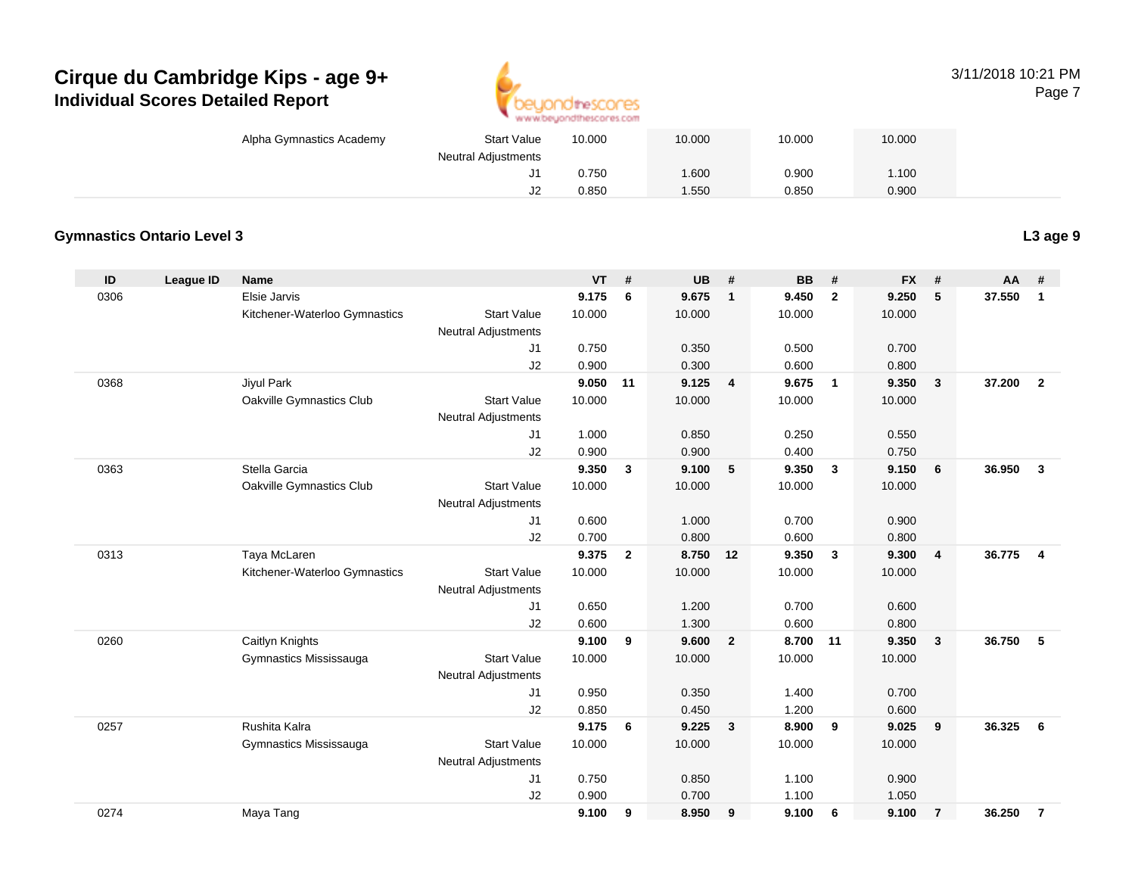

### 3/11/2018 10:21 PMPage 7

| ALAN AN'ORANG IO ILMONTH ADEPTIT |                            |                    |        |        |        |        |  |  |  |  |  |  |  |
|----------------------------------|----------------------------|--------------------|--------|--------|--------|--------|--|--|--|--|--|--|--|
|                                  | Alpha Gymnastics Academy   | <b>Start Value</b> | 10.000 | 10.000 | 10.000 | 10.000 |  |  |  |  |  |  |  |
|                                  | <b>Neutral Adjustments</b> |                    |        |        |        |        |  |  |  |  |  |  |  |
|                                  |                            | ັບ                 | 0.750  | .600   | 0.900  | 1.100  |  |  |  |  |  |  |  |
|                                  |                            | JZ                 | 0.850  | .550   | 0.850  | 0.900  |  |  |  |  |  |  |  |
|                                  |                            |                    |        |        |        |        |  |  |  |  |  |  |  |

### **Gymnastics Ontario Level 3**

| ID   | League ID | <b>Name</b>                   |                            | <b>VT</b> | #              | <b>UB</b> | #                       | <b>BB</b> | #              | <b>FX</b> | #                       | <b>AA</b> | #              |
|------|-----------|-------------------------------|----------------------------|-----------|----------------|-----------|-------------------------|-----------|----------------|-----------|-------------------------|-----------|----------------|
| 0306 |           | Elsie Jarvis                  |                            | 9.175     | 6              | 9.675     | $\mathbf{1}$            | 9.450     | $\overline{2}$ | 9.250     | 5                       | 37.550    | $\mathbf{1}$   |
|      |           | Kitchener-Waterloo Gymnastics | <b>Start Value</b>         | 10.000    |                | 10.000    |                         | 10.000    |                | 10.000    |                         |           |                |
|      |           |                               | <b>Neutral Adjustments</b> |           |                |           |                         |           |                |           |                         |           |                |
|      |           |                               | J1                         | 0.750     |                | 0.350     |                         | 0.500     |                | 0.700     |                         |           |                |
|      |           |                               | J2                         | 0.900     |                | 0.300     |                         | 0.600     |                | 0.800     |                         |           |                |
| 0368 |           | Jiyul Park                    |                            | 9.050     | 11             | 9.125     | $\overline{4}$          | 9.675     | $\overline{1}$ | 9.350     | $\mathbf{3}$            | 37.200    | $\overline{2}$ |
|      |           | Oakville Gymnastics Club      | <b>Start Value</b>         | 10.000    |                | 10.000    |                         | 10.000    |                | 10.000    |                         |           |                |
|      |           |                               | <b>Neutral Adjustments</b> |           |                |           |                         |           |                |           |                         |           |                |
|      |           |                               | J1                         | 1.000     |                | 0.850     |                         | 0.250     |                | 0.550     |                         |           |                |
|      |           |                               | J2                         | 0.900     |                | 0.900     |                         | 0.400     |                | 0.750     |                         |           |                |
| 0363 |           | Stella Garcia                 |                            | 9.350     | $\mathbf{3}$   | 9.100     | 5                       | 9.350     | $\mathbf{3}$   | 9.150     | 6                       | 36.950    | $\mathbf{3}$   |
|      |           | Oakville Gymnastics Club      | <b>Start Value</b>         | 10.000    |                | 10.000    |                         | 10.000    |                | 10.000    |                         |           |                |
|      |           |                               | <b>Neutral Adjustments</b> |           |                |           |                         |           |                |           |                         |           |                |
|      |           |                               | J <sub>1</sub>             | 0.600     |                | 1.000     |                         | 0.700     |                | 0.900     |                         |           |                |
|      |           |                               | J2                         | 0.700     |                | 0.800     |                         | 0.600     |                | 0.800     |                         |           |                |
| 0313 |           | Taya McLaren                  |                            | 9.375     | $\overline{2}$ | 8.750 12  |                         | 9.350     | $\mathbf{3}$   | 9.300     | $\overline{\mathbf{4}}$ | 36.775    | $\overline{4}$ |
|      |           | Kitchener-Waterloo Gymnastics | <b>Start Value</b>         | 10.000    |                | 10.000    |                         | 10.000    |                | 10.000    |                         |           |                |
|      |           |                               | <b>Neutral Adjustments</b> |           |                |           |                         |           |                |           |                         |           |                |
|      |           |                               | J1                         | 0.650     |                | 1.200     |                         | 0.700     |                | 0.600     |                         |           |                |
|      |           |                               | J2                         | 0.600     |                | 1.300     |                         | 0.600     |                | 0.800     |                         |           |                |
| 0260 |           | Caitlyn Knights               |                            | 9.100     | 9              | 9.600     | $\overline{2}$          | 8.700     | 11             | 9.350     | 3                       | 36.750    | -5             |
|      |           | Gymnastics Mississauga        | <b>Start Value</b>         | 10.000    |                | 10.000    |                         | 10.000    |                | 10.000    |                         |           |                |
|      |           |                               | <b>Neutral Adjustments</b> |           |                |           |                         |           |                |           |                         |           |                |
|      |           |                               | J1                         | 0.950     |                | 0.350     |                         | 1.400     |                | 0.700     |                         |           |                |
|      |           |                               | J2                         | 0.850     |                | 0.450     |                         | 1.200     |                | 0.600     |                         |           |                |
| 0257 |           | Rushita Kalra                 |                            | 9.175     | 6              | 9.225     | $\overline{\mathbf{3}}$ | 8.900     | 9              | 9.025     | 9                       | 36.325    | 6              |
|      |           | Gymnastics Mississauga        | <b>Start Value</b>         | 10.000    |                | 10.000    |                         | 10.000    |                | 10.000    |                         |           |                |
|      |           |                               | Neutral Adjustments        |           |                |           |                         |           |                |           |                         |           |                |
|      |           |                               | J1                         | 0.750     |                | 0.850     |                         | 1.100     |                | 0.900     |                         |           |                |
|      |           |                               | J2                         | 0.900     |                | 0.700     |                         | 1.100     |                | 1.050     |                         |           |                |
| 0274 |           | Maya Tang                     |                            | 9.100     | 9              | 8.950     | 9                       | 9.100     | 6              | 9.100     | $\overline{7}$          | 36.250    | $\overline{7}$ |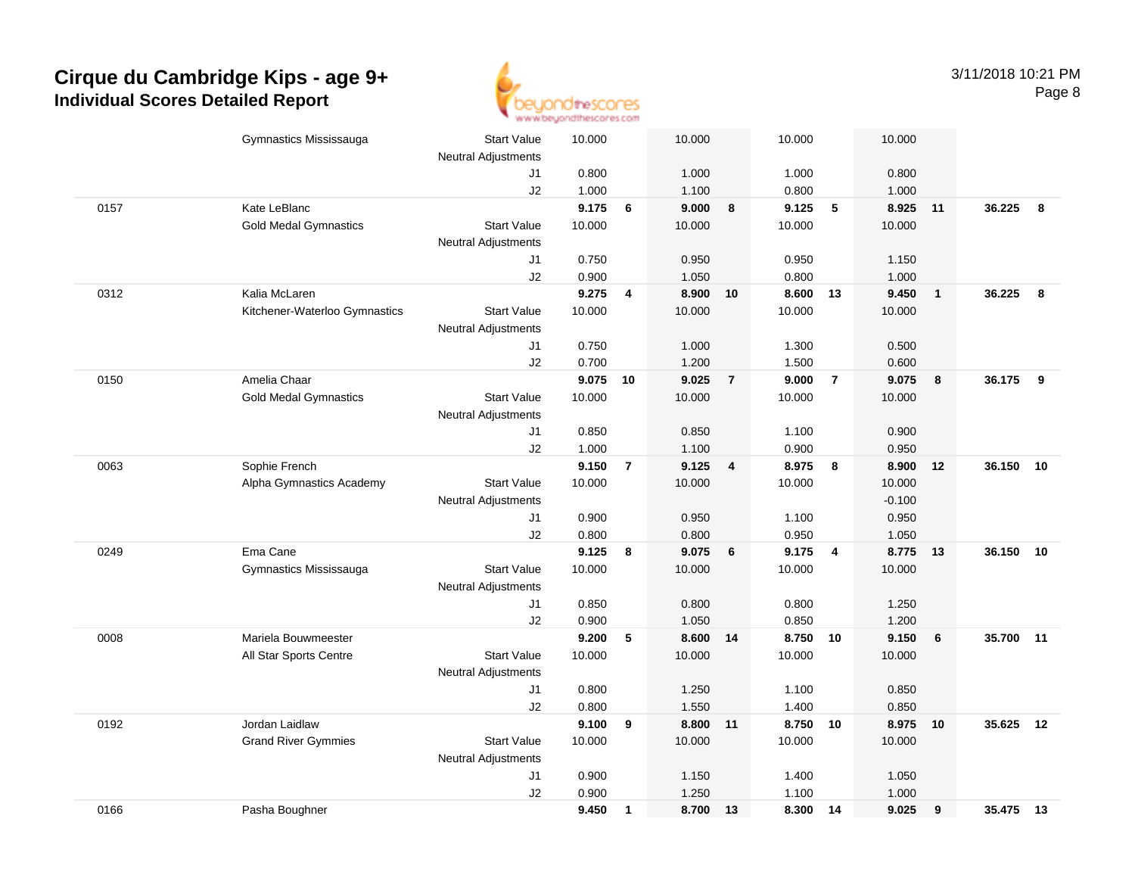

|      | Gymnastics Mississauga        | <b>Start Value</b>         | 10.000   |                | 10.000   |                | 10.000            |                | 10.000   |                         |           |     |
|------|-------------------------------|----------------------------|----------|----------------|----------|----------------|-------------------|----------------|----------|-------------------------|-----------|-----|
|      |                               | <b>Neutral Adjustments</b> |          |                |          |                |                   |                |          |                         |           |     |
|      |                               | J1                         | 0.800    |                | 1.000    |                | 1.000             |                | 0.800    |                         |           |     |
|      |                               | J2                         | 1.000    |                | 1.100    |                | 0.800             |                | 1.000    |                         |           |     |
| 0157 | Kate LeBlanc                  |                            | 9.175    | 6              | 9.000    | 8              | 9.125             | 5              | 8.925    | 11                      | 36.225    | 8   |
|      | <b>Gold Medal Gymnastics</b>  | <b>Start Value</b>         | 10.000   |                | 10.000   |                | 10.000            |                | 10.000   |                         |           |     |
|      |                               | <b>Neutral Adjustments</b> |          |                |          |                |                   |                |          |                         |           |     |
|      |                               | J1                         | 0.750    |                | 0.950    |                | 0.950             |                | 1.150    |                         |           |     |
|      |                               | J2                         | 0.900    |                | 1.050    |                | 0.800             |                | 1.000    |                         |           |     |
| 0312 | Kalia McLaren                 |                            | 9.275    | 4              | 8.900    | 10             | 8.600             | 13             | 9.450    | $\overline{1}$          | 36.225    | 8   |
|      | Kitchener-Waterloo Gymnastics | <b>Start Value</b>         | 10.000   |                | 10.000   |                | 10.000            |                | 10.000   |                         |           |     |
|      |                               | <b>Neutral Adjustments</b> |          |                |          |                |                   |                |          |                         |           |     |
|      |                               | J1                         | 0.750    |                | 1.000    |                | 1.300             |                | 0.500    |                         |           |     |
|      |                               | J2                         | 0.700    |                | 1.200    |                | 1.500             |                | 0.600    |                         |           |     |
| 0150 | Amelia Chaar                  |                            | 9.075 10 |                | 9.025    | $\overline{7}$ | 9.000             | $\overline{7}$ | 9.075    | $\overline{\mathbf{8}}$ | 36.175    | - 9 |
|      | <b>Gold Medal Gymnastics</b>  | <b>Start Value</b>         | 10.000   |                | 10.000   |                | 10.000            |                | 10.000   |                         |           |     |
|      |                               | <b>Neutral Adjustments</b> |          |                |          |                |                   |                |          |                         |           |     |
|      |                               | J1                         | 0.850    |                | 0.850    |                | 1.100             |                | 0.900    |                         |           |     |
|      |                               | J2                         | 1.000    |                | 1.100    |                | 0.900             |                | 0.950    |                         |           |     |
| 0063 | Sophie French                 |                            | 9.150    | $\overline{7}$ | 9.125    | $\overline{4}$ | 8.975             | 8              | 8.900    | 12                      | 36.150 10 |     |
|      | Alpha Gymnastics Academy      | <b>Start Value</b>         | 10.000   |                | 10.000   |                | 10.000            |                | 10.000   |                         |           |     |
|      |                               | <b>Neutral Adjustments</b> |          |                |          |                |                   |                | $-0.100$ |                         |           |     |
|      |                               | J1                         | 0.900    |                | 0.950    |                | 1.100             |                | 0.950    |                         |           |     |
|      |                               | J2                         | 0.800    |                | 0.800    |                | 0.950             |                | 1.050    |                         |           |     |
| 0249 | Ema Cane                      |                            | 9.125    | 8              | 9.075    | 6              | 9.175             | $\overline{4}$ | 8.775    | 13                      | 36.150    | 10  |
|      | Gymnastics Mississauga        | <b>Start Value</b>         | 10.000   |                | 10.000   |                | 10.000            |                | 10.000   |                         |           |     |
|      |                               | Neutral Adjustments        |          |                |          |                |                   |                |          |                         |           |     |
|      |                               | J1                         | 0.850    |                | 0.800    |                | 0.800             |                | 1.250    |                         |           |     |
|      |                               | J2                         | 0.900    |                | 1.050    |                | 0.850             |                | 1.200    |                         |           |     |
| 0008 | Mariela Bouwmeester           |                            | 9.200    | 5              | 8.600 14 |                | 8.750 10          |                | 9.150    | 6                       | 35.700 11 |     |
|      | All Star Sports Centre        | <b>Start Value</b>         | 10.000   |                | 10.000   |                | 10.000            |                | 10.000   |                         |           |     |
|      |                               | Neutral Adjustments        |          |                |          |                |                   |                |          |                         |           |     |
|      |                               | J1                         | 0.800    |                | 1.250    |                | 1.100             |                | 0.850    |                         |           |     |
|      |                               | J2                         | 0.800    |                | 1.550    |                | 1.400<br>8.750 10 |                | 0.850    |                         | 35.625    |     |
| 0192 | Jordan Laidlaw                | <b>Start Value</b>         | 9.100    | 9              | 8.800 11 |                |                   |                | 8.975 10 |                         |           | 12  |
|      | <b>Grand River Gymmies</b>    |                            | 10.000   |                | 10.000   |                | 10.000            |                | 10.000   |                         |           |     |
|      |                               | Neutral Adjustments        |          |                |          |                |                   |                |          |                         |           |     |
|      |                               | J1                         | 0.900    |                | 1.150    |                | 1.400             |                | 1.050    |                         |           |     |
|      |                               | J2                         | 0.900    |                | 1.250    |                | 1.100             |                | 1.000    |                         |           |     |
| 0166 | Pasha Boughner                |                            | 9.450    | $\mathbf{1}$   | 8.700    | 13             | 8.300 14          |                | 9.025    | 9                       | 35.475 13 |     |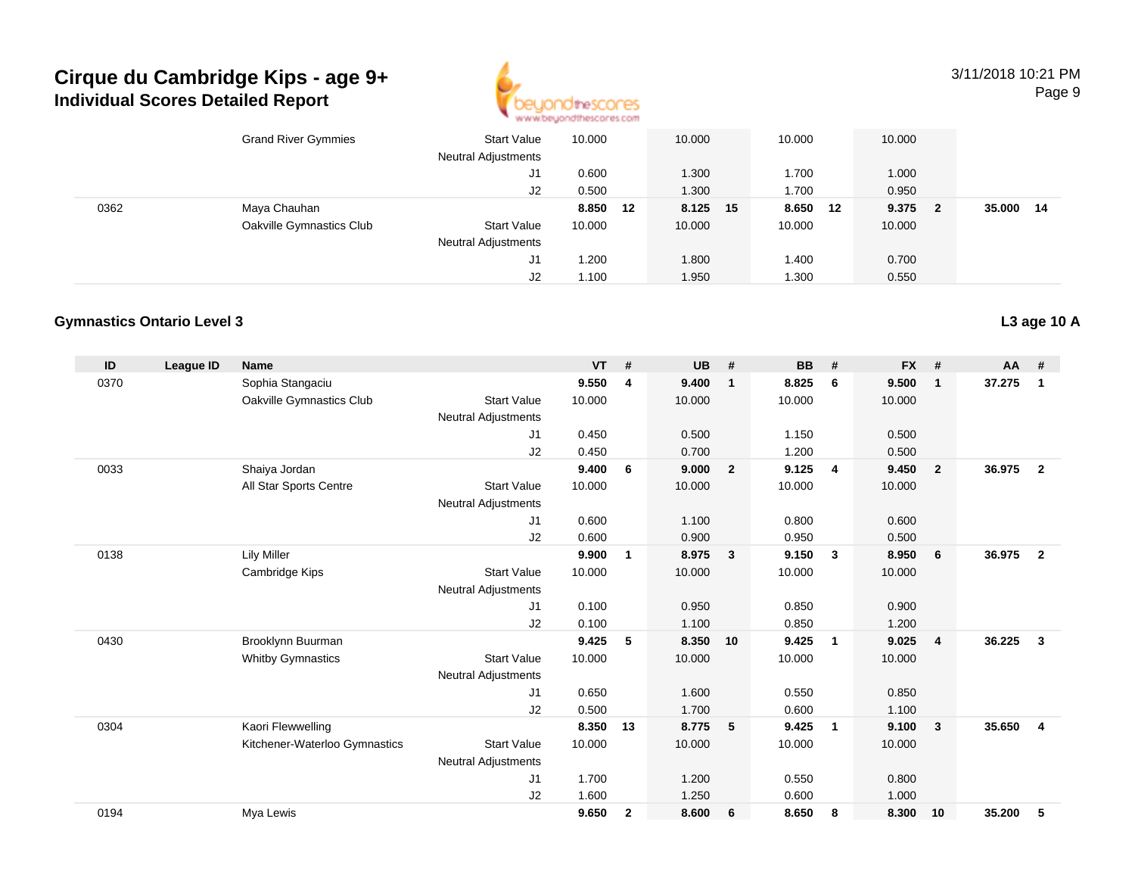

3/11/2018 10:21 PMPage 9

|      | <b>Grand River Gymmies</b> | <b>Start Value</b><br><b>Neutral Adjustments</b> | 10.000   | 10.000   | 10.000 |    | 10.000 |              |        |    |
|------|----------------------------|--------------------------------------------------|----------|----------|--------|----|--------|--------------|--------|----|
|      |                            | J1                                               | 0.600    | 1.300    | 1.700  |    | 1.000  |              |        |    |
|      |                            | J2                                               | 0.500    | 1.300    | 1.700  |    | 0.950  |              |        |    |
| 0362 | Maya Chauhan               |                                                  | 8.850 12 | 8.125 15 | 8.650  | 12 | 9.375  | $\mathbf{2}$ | 35.000 | 14 |
|      | Oakville Gymnastics Club   | <b>Start Value</b>                               | 10.000   | 10.000   | 10.000 |    | 10.000 |              |        |    |
|      |                            | <b>Neutral Adjustments</b>                       |          |          |        |    |        |              |        |    |
|      |                            | J1                                               | .200     | 1.800    | 1.400  |    | 0.700  |              |        |    |
|      |                            | J2                                               | 1.100    | 1.950    | 1.300  |    | 0.550  |              |        |    |

### **Gymnastics Ontario Level 3**

| ID   | <b>League ID</b> | <b>Name</b>                   |                            | <b>VT</b> | #            | <b>UB</b> | #              | <b>BB</b> | #                       | <b>FX</b> | #                       | $AA$ # |                |
|------|------------------|-------------------------------|----------------------------|-----------|--------------|-----------|----------------|-----------|-------------------------|-----------|-------------------------|--------|----------------|
| 0370 |                  | Sophia Stangaciu              |                            | 9.550     | 4            | 9.400     | $\overline{1}$ | 8.825     | 6                       | 9.500     | $\mathbf{1}$            | 37.275 | $\mathbf{1}$   |
|      |                  | Oakville Gymnastics Club      | <b>Start Value</b>         | 10.000    |              | 10.000    |                | 10.000    |                         | 10.000    |                         |        |                |
|      |                  |                               | <b>Neutral Adjustments</b> |           |              |           |                |           |                         |           |                         |        |                |
|      |                  |                               | J1                         | 0.450     |              | 0.500     |                | 1.150     |                         | 0.500     |                         |        |                |
|      |                  |                               | J2                         | 0.450     |              | 0.700     |                | 1.200     |                         | 0.500     |                         |        |                |
| 0033 |                  | Shaiya Jordan                 |                            | 9.400     | 6            | 9.000     | $\overline{2}$ | 9.125     | $\overline{4}$          | 9.450     | $\overline{2}$          | 36.975 | $\overline{2}$ |
|      |                  | All Star Sports Centre        | <b>Start Value</b>         | 10.000    |              | 10.000    |                | 10.000    |                         | 10.000    |                         |        |                |
|      |                  |                               | <b>Neutral Adjustments</b> |           |              |           |                |           |                         |           |                         |        |                |
|      |                  |                               | J1                         | 0.600     |              | 1.100     |                | 0.800     |                         | 0.600     |                         |        |                |
|      |                  |                               | J2                         | 0.600     |              | 0.900     |                | 0.950     |                         | 0.500     |                         |        |                |
| 0138 |                  | <b>Lily Miller</b>            |                            | 9.900     | 1            | 8.975     | $\mathbf{3}$   | 9.150     | $\mathbf{3}$            | 8.950     | 6                       | 36.975 | $\overline{2}$ |
|      |                  | Cambridge Kips                | <b>Start Value</b>         | 10.000    |              | 10.000    |                | 10.000    |                         | 10.000    |                         |        |                |
|      |                  |                               | <b>Neutral Adjustments</b> |           |              |           |                |           |                         |           |                         |        |                |
|      |                  |                               | J <sub>1</sub>             | 0.100     |              | 0.950     |                | 0.850     |                         | 0.900     |                         |        |                |
|      |                  |                               | J2                         | 0.100     |              | 1.100     |                | 0.850     |                         | 1.200     |                         |        |                |
| 0430 |                  | Brooklynn Buurman             |                            | 9.425     | 5            | 8.350     | 10             | 9.425     | $\mathbf{1}$            | 9.025     | $\overline{\mathbf{4}}$ | 36.225 | 3              |
|      |                  | <b>Whitby Gymnastics</b>      | <b>Start Value</b>         | 10.000    |              | 10.000    |                | 10.000    |                         | 10.000    |                         |        |                |
|      |                  |                               | <b>Neutral Adjustments</b> |           |              |           |                |           |                         |           |                         |        |                |
|      |                  |                               | J <sub>1</sub>             | 0.650     |              | 1.600     |                | 0.550     |                         | 0.850     |                         |        |                |
|      |                  |                               | J2                         | 0.500     |              | 1.700     |                | 0.600     |                         | 1.100     |                         |        |                |
| 0304 |                  | Kaori Flewwelling             |                            | 8.350     | 13           | 8.775     | 5              | 9.425     | $\overline{\mathbf{1}}$ | 9.100     | $\mathbf{3}$            | 35.650 | $\overline{4}$ |
|      |                  | Kitchener-Waterloo Gymnastics | <b>Start Value</b>         | 10.000    |              | 10.000    |                | 10.000    |                         | 10.000    |                         |        |                |
|      |                  |                               | <b>Neutral Adjustments</b> |           |              |           |                |           |                         |           |                         |        |                |
|      |                  |                               | J <sub>1</sub>             | 1.700     |              | 1.200     |                | 0.550     |                         | 0.800     |                         |        |                |
|      |                  |                               | J2                         | 1.600     |              | 1.250     |                | 0.600     |                         | 1.000     |                         |        |                |
| 0194 |                  | Mya Lewis                     |                            | 9.650     | $\mathbf{2}$ | 8.600     | - 6            | 8.650     | 8                       | 8.300     | 10                      | 35.200 | 5              |

### **L3 age 10 A**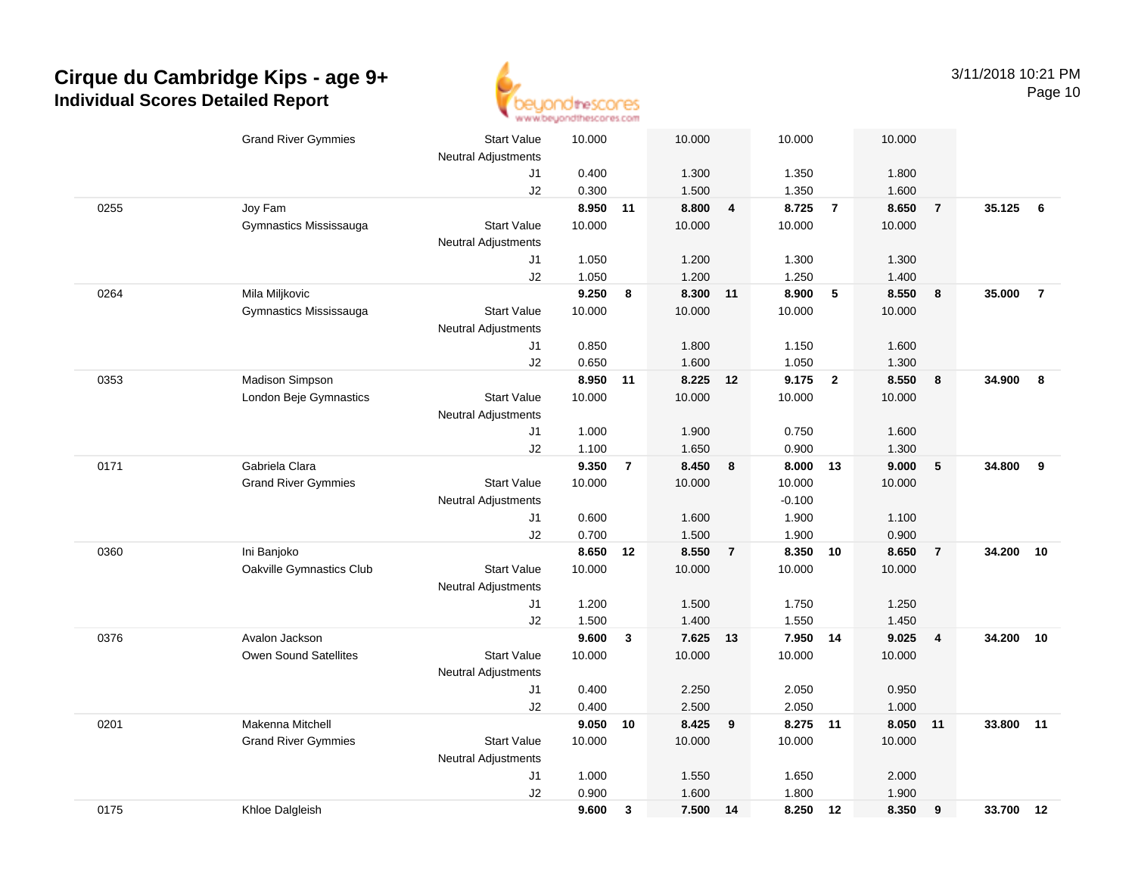

|      | <b>Grand River Gymmies</b> | <b>Start Value</b>         | 10.000          |                | 10.000         |                | 10.000            |                         | 10.000         |                |        |                |
|------|----------------------------|----------------------------|-----------------|----------------|----------------|----------------|-------------------|-------------------------|----------------|----------------|--------|----------------|
|      |                            | <b>Neutral Adjustments</b> |                 |                |                |                |                   |                         |                |                |        |                |
|      |                            | J1                         | 0.400           |                | 1.300          |                | 1.350             |                         | 1.800          |                |        |                |
|      |                            | J2                         | 0.300           |                | 1.500          |                | 1.350             |                         | 1.600          |                |        |                |
| 0255 | Joy Fam                    |                            | 8.950           | 11             | 8.800          | 4              | 8.725             | $\overline{7}$          | 8.650          | $\overline{7}$ | 35.125 | 6              |
|      | Gymnastics Mississauga     | <b>Start Value</b>         | 10.000          |                | 10.000         |                | 10.000            |                         | 10.000         |                |        |                |
|      |                            | <b>Neutral Adjustments</b> |                 |                |                |                |                   |                         |                |                |        |                |
|      |                            | J1                         | 1.050           |                | 1.200          |                | 1.300             |                         | 1.300          |                |        |                |
|      |                            | J2                         | 1.050           |                | 1.200          |                | 1.250             |                         | 1.400          |                |        |                |
| 0264 | Mila Miljkovic             |                            | 9.250           | 8              | 8.300 11       |                | 8.900             | 5                       | 8.550          | 8              | 35.000 | $\overline{7}$ |
|      | Gymnastics Mississauga     | <b>Start Value</b>         | 10.000          |                | 10.000         |                | 10.000            |                         | 10.000         |                |        |                |
|      |                            | <b>Neutral Adjustments</b> |                 |                |                |                |                   |                         |                |                |        |                |
|      |                            | J1                         | 0.850           |                | 1.800          |                | 1.150             |                         | 1.600          |                |        |                |
|      |                            | J2                         | 0.650<br>8.950  |                | 1.600          |                | 1.050             |                         | 1.300<br>8.550 |                |        |                |
| 0353 | Madison Simpson            |                            |                 | 11             | 8.225 12       |                | 9.175             | $\overline{\mathbf{2}}$ |                | 8              | 34.900 | 8              |
|      | London Beje Gymnastics     | <b>Start Value</b>         | 10.000          |                | 10.000         |                | 10.000            |                         | 10.000         |                |        |                |
|      |                            | <b>Neutral Adjustments</b> |                 |                |                |                |                   |                         |                |                |        |                |
|      |                            | J1                         | 1.000           |                | 1.900          |                | 0.750             |                         | 1.600          |                |        |                |
| 0171 | Gabriela Clara             | J2                         | 1.100           | $\overline{7}$ | 1.650<br>8.450 |                | 0.900<br>8.000 13 |                         | 1.300<br>9.000 | $\sqrt{5}$     | 34.800 | 9              |
|      |                            | <b>Start Value</b>         | 9.350<br>10.000 |                | 10.000         | 8              | 10.000            |                         | 10.000         |                |        |                |
|      | <b>Grand River Gymmies</b> | <b>Neutral Adjustments</b> |                 |                |                |                | $-0.100$          |                         |                |                |        |                |
|      |                            | J1                         | 0.600           |                | 1.600          |                | 1.900             |                         | 1.100          |                |        |                |
|      |                            | J2                         | 0.700           |                | 1.500          |                | 1.900             |                         | 0.900          |                |        |                |
| 0360 | Ini Banjoko                |                            | 8.650           | 12             | 8.550          | $\overline{7}$ | 8.350             | 10                      | 8.650          | $\overline{7}$ | 34.200 | 10             |
|      | Oakville Gymnastics Club   | <b>Start Value</b>         | 10.000          |                | 10.000         |                | 10.000            |                         | 10.000         |                |        |                |
|      |                            | <b>Neutral Adjustments</b> |                 |                |                |                |                   |                         |                |                |        |                |
|      |                            | J1                         | 1.200           |                | 1.500          |                | 1.750             |                         | 1.250          |                |        |                |
|      |                            | J2                         | 1.500           |                | 1.400          |                | 1.550             |                         | 1.450          |                |        |                |
| 0376 | Avalon Jackson             |                            | 9.600           | 3              | 7.625 13       |                | 7.950 14          |                         | 9.025          | $\overline{4}$ | 34.200 | 10             |
|      | Owen Sound Satellites      | <b>Start Value</b>         | 10.000          |                | 10.000         |                | 10.000            |                         | 10.000         |                |        |                |
|      |                            | Neutral Adjustments        |                 |                |                |                |                   |                         |                |                |        |                |
|      |                            | J1                         | 0.400           |                | 2.250          |                | 2.050             |                         | 0.950          |                |        |                |
|      |                            | J2                         | 0.400           |                | 2.500          |                | 2.050             |                         | 1.000          |                |        |                |
| 0201 | Makenna Mitchell           |                            | 9.050           | 10             | 8.425          | 9              | 8.275             | 11                      | 8.050          | 11             | 33.800 | 11             |
|      | <b>Grand River Gymmies</b> | <b>Start Value</b>         | 10.000          |                | 10.000         |                | 10.000            |                         | 10.000         |                |        |                |
|      |                            | <b>Neutral Adjustments</b> |                 |                |                |                |                   |                         |                |                |        |                |
|      |                            | J1                         | 1.000           |                | 1.550          |                | 1.650             |                         | 2.000          |                |        |                |
|      |                            | J2                         | 0.900           |                | 1.600          |                | 1.800             |                         | 1.900          |                |        |                |
| 0175 | Khloe Dalgleish            |                            | 9.600           | 3              | 7.500 14       |                | 8.250 12          |                         | 8.350          | 9              | 33.700 | 12             |
|      |                            |                            |                 |                |                |                |                   |                         |                |                |        |                |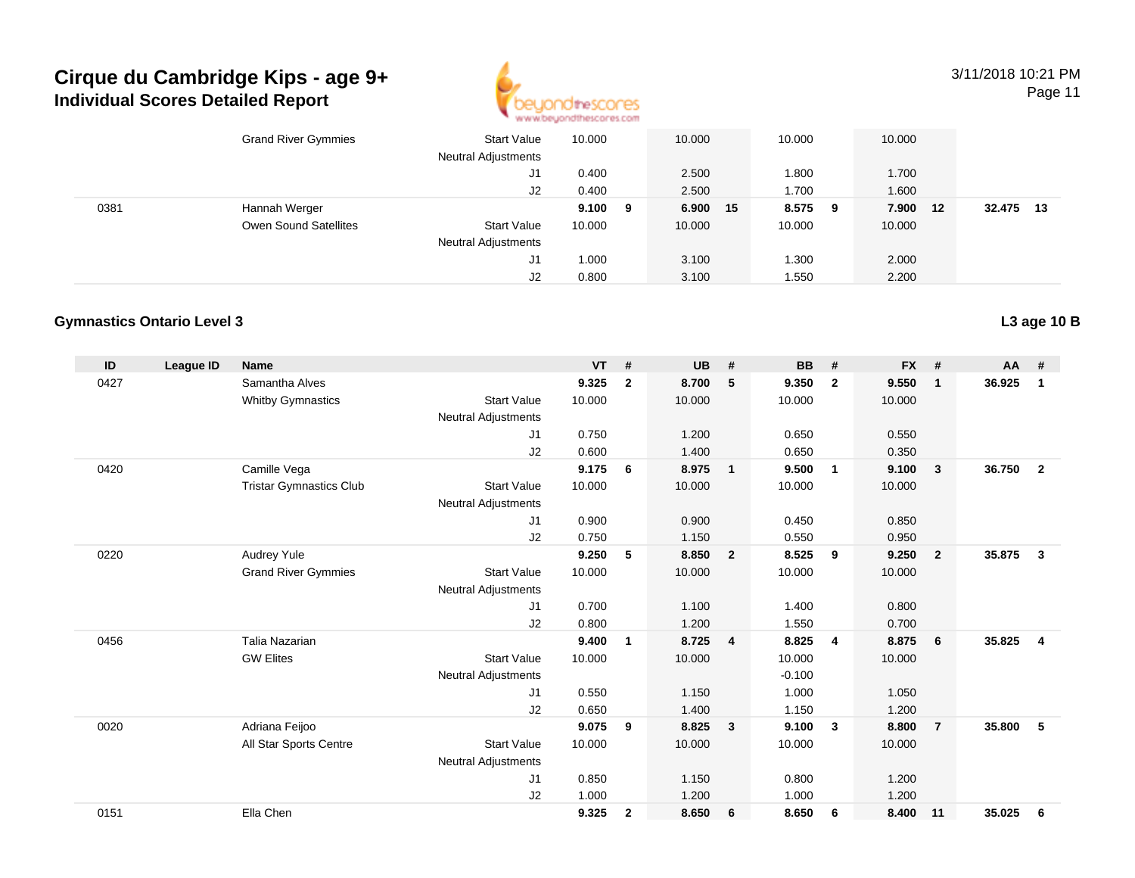

3/11/2018 10:21 PM

Page 11

|      | <b>Grand River Gymmies</b> | <b>Start Value</b><br><b>Neutral Adjustments</b> | 10.000 |    | 10.000   | 10.000 |     | 10.000 |    |                |  |
|------|----------------------------|--------------------------------------------------|--------|----|----------|--------|-----|--------|----|----------------|--|
|      |                            | J1                                               | 0.400  |    | 2.500    | 1.800  |     | 1.700  |    |                |  |
|      |                            | J2                                               | 0.400  |    | 2.500    | 1.700  |     | 1.600  |    |                |  |
| 0381 | Hannah Werger              |                                                  | 9.100  | -9 | 6.900 15 | 8.575  | - 9 | 7.900  | 12 | 32.475<br>- 13 |  |
|      | Owen Sound Satellites      | <b>Start Value</b>                               | 10.000 |    | 10.000   | 10.000 |     | 10.000 |    |                |  |
|      |                            | <b>Neutral Adjustments</b>                       |        |    |          |        |     |        |    |                |  |
|      |                            | J1                                               | 000. ا |    | 3.100    | 1.300  |     | 2.000  |    |                |  |
|      |                            | J2                                               | 0.800  |    | 3.100    | 1.550  |     | 2.200  |    |                |  |

### **Gymnastics Ontario Level 3**

| ID   | League ID | <b>Name</b>                    |                            | <b>VT</b> | #              | <b>UB</b> | #                       | <b>BB</b> | #                       | <b>FX</b> | #              | <b>AA</b> | #              |
|------|-----------|--------------------------------|----------------------------|-----------|----------------|-----------|-------------------------|-----------|-------------------------|-----------|----------------|-----------|----------------|
| 0427 |           | Samantha Alves                 |                            | 9.325     | $\overline{2}$ | 8.700     | 5                       | 9.350     | $\overline{2}$          | 9.550     | $\mathbf{1}$   | 36.925    | 1              |
|      |           | <b>Whitby Gymnastics</b>       | <b>Start Value</b>         | 10.000    |                | 10.000    |                         | 10.000    |                         | 10.000    |                |           |                |
|      |           |                                | <b>Neutral Adjustments</b> |           |                |           |                         |           |                         |           |                |           |                |
|      |           |                                | J1                         | 0.750     |                | 1.200     |                         | 0.650     |                         | 0.550     |                |           |                |
|      |           |                                | J2                         | 0.600     |                | 1.400     |                         | 0.650     |                         | 0.350     |                |           |                |
| 0420 |           | Camille Vega                   |                            | 9.175     | 6              | 8.975     | $\overline{1}$          | 9.500     | $\overline{1}$          | 9.100     | $\mathbf{3}$   | 36.750    | $\overline{2}$ |
|      |           | <b>Tristar Gymnastics Club</b> | <b>Start Value</b>         | 10.000    |                | 10.000    |                         | 10.000    |                         | 10.000    |                |           |                |
|      |           |                                | <b>Neutral Adjustments</b> |           |                |           |                         |           |                         |           |                |           |                |
|      |           |                                | J1                         | 0.900     |                | 0.900     |                         | 0.450     |                         | 0.850     |                |           |                |
|      |           |                                | J2                         | 0.750     |                | 1.150     |                         | 0.550     |                         | 0.950     |                |           |                |
| 0220 |           | Audrey Yule                    |                            | 9.250     | 5              | 8.850     | $\overline{\mathbf{2}}$ | 8.525     | 9                       | 9.250     | $\overline{2}$ | 35.875    | 3              |
|      |           | <b>Grand River Gymmies</b>     | <b>Start Value</b>         | 10.000    |                | 10.000    |                         | 10.000    |                         | 10.000    |                |           |                |
|      |           |                                | <b>Neutral Adjustments</b> |           |                |           |                         |           |                         |           |                |           |                |
|      |           |                                | J <sub>1</sub>             | 0.700     |                | 1.100     |                         | 1.400     |                         | 0.800     |                |           |                |
|      |           |                                | J2                         | 0.800     |                | 1.200     |                         | 1.550     |                         | 0.700     |                |           |                |
| 0456 |           | Talia Nazarian                 |                            | 9.400     | $\mathbf{1}$   | 8.725     | $\overline{4}$          | 8.825     | $\overline{4}$          | 8.875     | 6              | 35.825    | $\overline{4}$ |
|      |           | <b>GW Elites</b>               | <b>Start Value</b>         | 10.000    |                | 10.000    |                         | 10.000    |                         | 10.000    |                |           |                |
|      |           |                                | <b>Neutral Adjustments</b> |           |                |           |                         | $-0.100$  |                         |           |                |           |                |
|      |           |                                | J <sub>1</sub>             | 0.550     |                | 1.150     |                         | 1.000     |                         | 1.050     |                |           |                |
|      |           |                                | J2                         | 0.650     |                | 1.400     |                         | 1.150     |                         | 1.200     |                |           |                |
| 0020 |           | Adriana Feijoo                 |                            | 9.075     | 9              | 8.825     | $\overline{\mathbf{3}}$ | 9.100     | $\overline{\mathbf{3}}$ | 8.800     | $\overline{7}$ | 35,800    | 5              |
|      |           | All Star Sports Centre         | <b>Start Value</b>         | 10.000    |                | 10.000    |                         | 10.000    |                         | 10.000    |                |           |                |
|      |           |                                | <b>Neutral Adjustments</b> |           |                |           |                         |           |                         |           |                |           |                |
|      |           |                                | J <sub>1</sub>             | 0.850     |                | 1.150     |                         | 0.800     |                         | 1.200     |                |           |                |
|      |           |                                | J <sub>2</sub>             | 1.000     |                | 1.200     |                         | 1.000     |                         | 1.200     |                |           |                |
| 0151 |           | Ella Chen                      |                            | 9.325     | $\mathbf{2}$   | 8.650     | 6                       | 8.650     | 6                       | 8.400     | 11             | 35.025    | 6              |
|      |           |                                |                            |           |                |           |                         |           |                         |           |                |           |                |

**L3 age 10 B**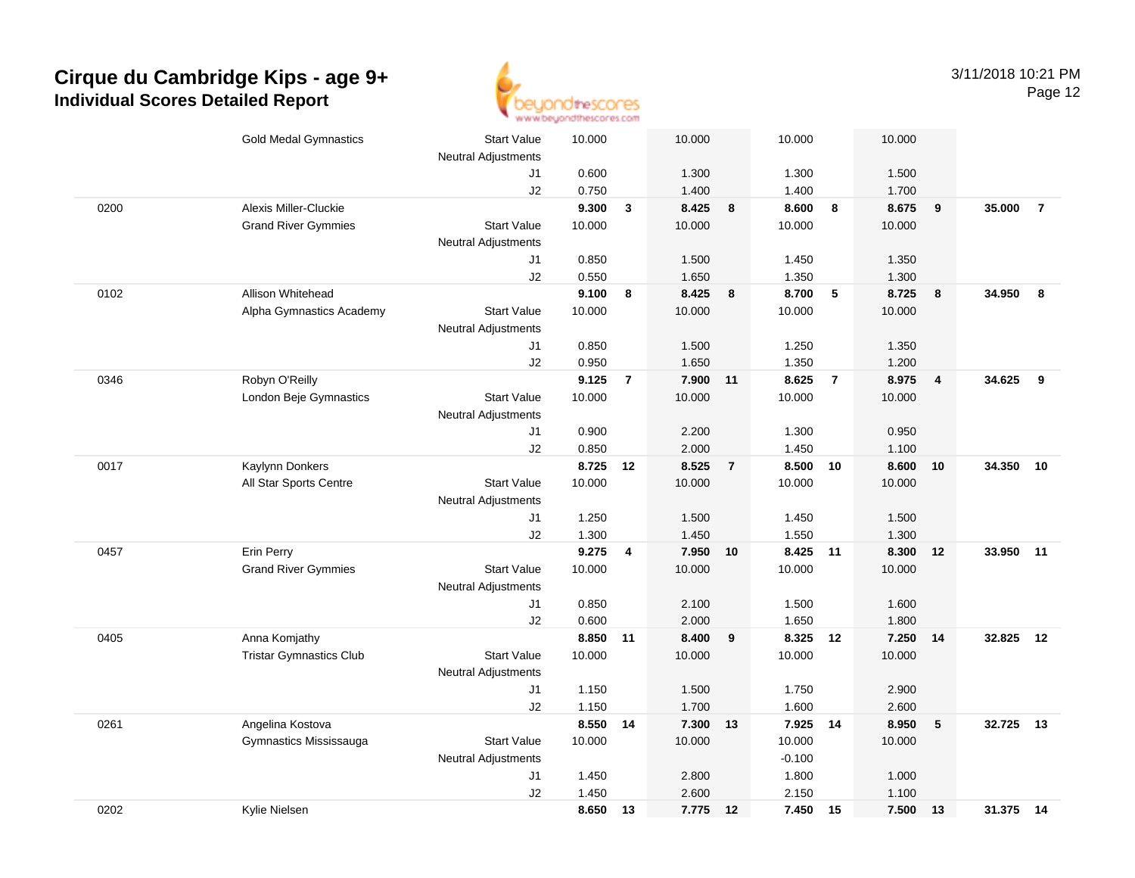

| 0200<br>0102<br>0346<br>0017<br>0457 | <b>Gold Medal Gymnastics</b><br>Alexis Miller-Cluckie<br><b>Grand River Gymmies</b><br>Allison Whitehead<br>Alpha Gymnastics Academy<br>Robyn O'Reilly<br>London Beje Gymnastics | <b>Start Value</b><br>Neutral Adjustments<br>J1<br>J2<br><b>Start Value</b><br><b>Neutral Adjustments</b><br>J1<br>J2<br><b>Start Value</b><br>Neutral Adjustments<br>J1<br>J2<br><b>Start Value</b><br><b>Neutral Adjustments</b><br>J1<br>J2 | 10.000<br>0.600<br>0.750<br>9.300<br>10.000<br>0.850<br>0.550<br>9.100<br>10.000<br>0.850<br>0.950<br>9.125<br>10.000<br>0.900 | $\mathbf{3}$<br>8<br>$\overline{7}$ | 10.000<br>1.300<br>1.400<br>8.425<br>10.000<br>1.500<br>1.650<br>8.425<br>10.000<br>1.500<br>1.650<br>7.900 11<br>10.000 | 8<br>8         | 10.000<br>1.300<br>1.400<br>8.600<br>10.000<br>1.450<br>1.350<br>8.700<br>10.000<br>1.250<br>1.350<br>8.625<br>10.000 | 8<br>5<br>$\overline{7}$ | 10.000<br>1.500<br>1.700<br>8.675<br>10.000<br>1.350<br>1.300<br>8.725<br>10.000<br>1.350<br>1.200<br>8.975<br>10.000 | 9<br>8<br>$\overline{4}$ | 35.000<br>34.950<br>34.625 | $\overline{7}$<br>- 8<br>9 |
|--------------------------------------|----------------------------------------------------------------------------------------------------------------------------------------------------------------------------------|------------------------------------------------------------------------------------------------------------------------------------------------------------------------------------------------------------------------------------------------|--------------------------------------------------------------------------------------------------------------------------------|-------------------------------------|--------------------------------------------------------------------------------------------------------------------------|----------------|-----------------------------------------------------------------------------------------------------------------------|--------------------------|-----------------------------------------------------------------------------------------------------------------------|--------------------------|----------------------------|----------------------------|
|                                      |                                                                                                                                                                                  |                                                                                                                                                                                                                                                |                                                                                                                                |                                     |                                                                                                                          |                |                                                                                                                       |                          |                                                                                                                       |                          |                            |                            |
|                                      |                                                                                                                                                                                  |                                                                                                                                                                                                                                                |                                                                                                                                |                                     |                                                                                                                          |                |                                                                                                                       |                          |                                                                                                                       |                          |                            |                            |
|                                      |                                                                                                                                                                                  |                                                                                                                                                                                                                                                |                                                                                                                                |                                     |                                                                                                                          |                |                                                                                                                       |                          |                                                                                                                       |                          |                            |                            |
|                                      |                                                                                                                                                                                  |                                                                                                                                                                                                                                                |                                                                                                                                |                                     |                                                                                                                          |                |                                                                                                                       |                          |                                                                                                                       |                          |                            |                            |
|                                      |                                                                                                                                                                                  |                                                                                                                                                                                                                                                |                                                                                                                                |                                     |                                                                                                                          |                |                                                                                                                       |                          |                                                                                                                       |                          |                            |                            |
|                                      |                                                                                                                                                                                  |                                                                                                                                                                                                                                                |                                                                                                                                |                                     |                                                                                                                          |                |                                                                                                                       |                          |                                                                                                                       |                          |                            |                            |
|                                      |                                                                                                                                                                                  |                                                                                                                                                                                                                                                |                                                                                                                                |                                     |                                                                                                                          |                |                                                                                                                       |                          |                                                                                                                       |                          |                            |                            |
|                                      |                                                                                                                                                                                  |                                                                                                                                                                                                                                                |                                                                                                                                |                                     |                                                                                                                          |                |                                                                                                                       |                          |                                                                                                                       |                          |                            |                            |
|                                      |                                                                                                                                                                                  |                                                                                                                                                                                                                                                |                                                                                                                                |                                     |                                                                                                                          |                |                                                                                                                       |                          |                                                                                                                       |                          |                            |                            |
|                                      |                                                                                                                                                                                  |                                                                                                                                                                                                                                                |                                                                                                                                |                                     |                                                                                                                          |                |                                                                                                                       |                          |                                                                                                                       |                          |                            |                            |
|                                      |                                                                                                                                                                                  |                                                                                                                                                                                                                                                |                                                                                                                                |                                     |                                                                                                                          |                |                                                                                                                       |                          |                                                                                                                       |                          |                            |                            |
|                                      |                                                                                                                                                                                  |                                                                                                                                                                                                                                                |                                                                                                                                |                                     |                                                                                                                          |                |                                                                                                                       |                          |                                                                                                                       |                          |                            |                            |
|                                      |                                                                                                                                                                                  |                                                                                                                                                                                                                                                |                                                                                                                                |                                     |                                                                                                                          |                |                                                                                                                       |                          |                                                                                                                       |                          |                            |                            |
|                                      |                                                                                                                                                                                  |                                                                                                                                                                                                                                                |                                                                                                                                |                                     |                                                                                                                          |                |                                                                                                                       |                          |                                                                                                                       |                          |                            |                            |
|                                      |                                                                                                                                                                                  |                                                                                                                                                                                                                                                |                                                                                                                                |                                     |                                                                                                                          |                |                                                                                                                       |                          |                                                                                                                       |                          |                            |                            |
|                                      |                                                                                                                                                                                  |                                                                                                                                                                                                                                                |                                                                                                                                |                                     |                                                                                                                          |                |                                                                                                                       |                          |                                                                                                                       |                          |                            |                            |
|                                      |                                                                                                                                                                                  |                                                                                                                                                                                                                                                |                                                                                                                                |                                     | 2.200                                                                                                                    |                | 1.300                                                                                                                 |                          | 0.950                                                                                                                 |                          |                            |                            |
|                                      |                                                                                                                                                                                  |                                                                                                                                                                                                                                                | 0.850                                                                                                                          |                                     | 2.000                                                                                                                    |                | 1.450                                                                                                                 |                          | 1.100                                                                                                                 |                          |                            |                            |
|                                      | Kaylynn Donkers                                                                                                                                                                  |                                                                                                                                                                                                                                                | 8.725 12                                                                                                                       |                                     | 8.525                                                                                                                    | $\overline{7}$ | 8.500 10                                                                                                              |                          | 8.600                                                                                                                 | 10                       | 34.350 10                  |                            |
|                                      | All Star Sports Centre                                                                                                                                                           | <b>Start Value</b>                                                                                                                                                                                                                             | 10.000                                                                                                                         |                                     | 10.000                                                                                                                   |                | 10.000                                                                                                                |                          | 10.000                                                                                                                |                          |                            |                            |
|                                      |                                                                                                                                                                                  | <b>Neutral Adjustments</b>                                                                                                                                                                                                                     |                                                                                                                                |                                     |                                                                                                                          |                |                                                                                                                       |                          |                                                                                                                       |                          |                            |                            |
|                                      |                                                                                                                                                                                  | J1                                                                                                                                                                                                                                             | 1.250                                                                                                                          |                                     | 1.500                                                                                                                    |                | 1.450                                                                                                                 |                          | 1.500                                                                                                                 |                          |                            |                            |
|                                      |                                                                                                                                                                                  | J2                                                                                                                                                                                                                                             | 1.300                                                                                                                          |                                     | 1.450                                                                                                                    |                | 1.550                                                                                                                 |                          | 1.300                                                                                                                 |                          |                            |                            |
|                                      | Erin Perry                                                                                                                                                                       |                                                                                                                                                                                                                                                | 9.275                                                                                                                          | 4                                   | 7.950                                                                                                                    | 10             | 8.425                                                                                                                 | 11                       | 8.300                                                                                                                 | 12                       | 33.950                     | 11                         |
|                                      | <b>Grand River Gymmies</b>                                                                                                                                                       | <b>Start Value</b>                                                                                                                                                                                                                             | 10.000                                                                                                                         |                                     | 10.000                                                                                                                   |                | 10.000                                                                                                                |                          | 10.000                                                                                                                |                          |                            |                            |
|                                      |                                                                                                                                                                                  | <b>Neutral Adjustments</b>                                                                                                                                                                                                                     |                                                                                                                                |                                     |                                                                                                                          |                |                                                                                                                       |                          |                                                                                                                       |                          |                            |                            |
|                                      |                                                                                                                                                                                  | J1                                                                                                                                                                                                                                             | 0.850                                                                                                                          |                                     | 2.100                                                                                                                    |                | 1.500                                                                                                                 |                          | 1.600                                                                                                                 |                          |                            |                            |
|                                      |                                                                                                                                                                                  | J2                                                                                                                                                                                                                                             | 0.600                                                                                                                          |                                     | 2.000                                                                                                                    |                | 1.650                                                                                                                 |                          | 1.800                                                                                                                 |                          |                            |                            |
| 0405                                 | Anna Komjathy                                                                                                                                                                    |                                                                                                                                                                                                                                                | 8.850 11                                                                                                                       |                                     | 8.400                                                                                                                    | 9              | 8.325 12                                                                                                              |                          | 7.250 14                                                                                                              |                          | 32.825                     | 12                         |
|                                      | <b>Tristar Gymnastics Club</b>                                                                                                                                                   | <b>Start Value</b>                                                                                                                                                                                                                             | 10.000                                                                                                                         |                                     | 10.000                                                                                                                   |                | 10.000                                                                                                                |                          | 10.000                                                                                                                |                          |                            |                            |
|                                      |                                                                                                                                                                                  | <b>Neutral Adjustments</b>                                                                                                                                                                                                                     |                                                                                                                                |                                     |                                                                                                                          |                |                                                                                                                       |                          |                                                                                                                       |                          |                            |                            |
|                                      |                                                                                                                                                                                  | J1                                                                                                                                                                                                                                             | 1.150                                                                                                                          |                                     | 1.500                                                                                                                    |                | 1.750                                                                                                                 |                          | 2.900                                                                                                                 |                          |                            |                            |
|                                      |                                                                                                                                                                                  | J2                                                                                                                                                                                                                                             | 1.150                                                                                                                          |                                     | 1.700                                                                                                                    |                | 1.600                                                                                                                 |                          | 2.600                                                                                                                 |                          |                            |                            |
| 0261                                 | Angelina Kostova                                                                                                                                                                 |                                                                                                                                                                                                                                                | 8.550                                                                                                                          | 14                                  | 7.300                                                                                                                    | 13             | 7.925                                                                                                                 | 14                       | 8.950                                                                                                                 | ${\bf 5}$                | 32.725                     | 13                         |
|                                      | Gymnastics Mississauga                                                                                                                                                           | <b>Start Value</b>                                                                                                                                                                                                                             | 10.000                                                                                                                         |                                     | 10.000                                                                                                                   |                | 10.000                                                                                                                |                          | 10.000                                                                                                                |                          |                            |                            |
|                                      |                                                                                                                                                                                  | Neutral Adjustments                                                                                                                                                                                                                            |                                                                                                                                |                                     |                                                                                                                          |                | $-0.100$                                                                                                              |                          |                                                                                                                       |                          |                            |                            |
|                                      |                                                                                                                                                                                  | J1                                                                                                                                                                                                                                             | 1.450                                                                                                                          |                                     | 2.800                                                                                                                    |                | 1.800                                                                                                                 |                          | 1.000                                                                                                                 |                          |                            |                            |
|                                      |                                                                                                                                                                                  | J2                                                                                                                                                                                                                                             | 1.450                                                                                                                          |                                     | 2.600                                                                                                                    |                | 2.150                                                                                                                 |                          | 1.100                                                                                                                 |                          |                            |                            |
| 0202                                 | Kylie Nielsen                                                                                                                                                                    |                                                                                                                                                                                                                                                | 8.650                                                                                                                          | 13                                  | 7.775 12                                                                                                                 |                | 7.450 15                                                                                                              |                          | 7.500 13                                                                                                              |                          | 31.375 14                  |                            |